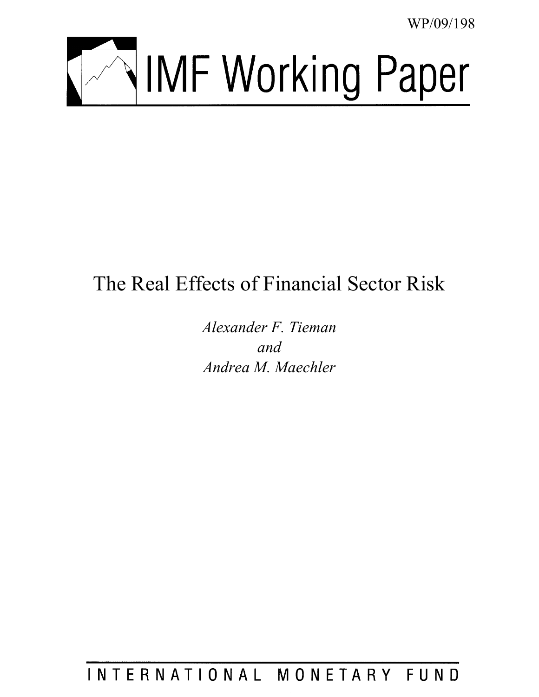WP/09/198



# The Real Effects of Financial Sector Risk

*Alexander F. Tieman and Andrea M. Maechler* 

INTERNATIONAL MONETARY FUND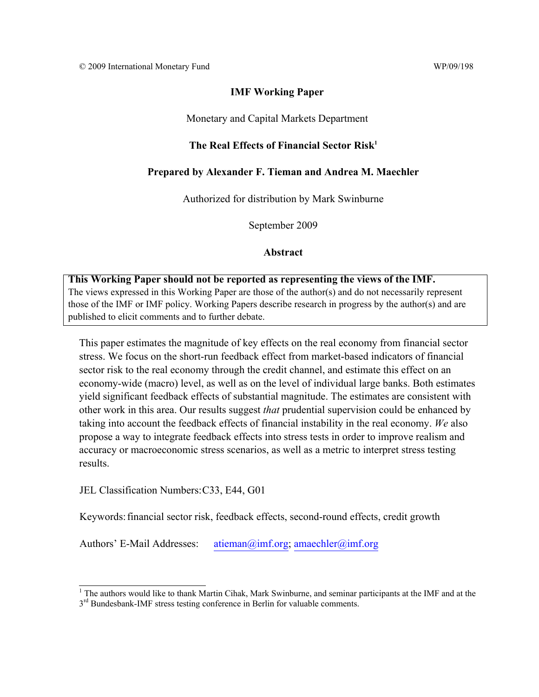#### **IMF Working Paper**

#### Monetary and Capital Markets Department

#### The Real Effects of Financial Sector Risk<sup>1</sup>

#### **Prepared by Alexander F. Tieman and Andrea M. Maechler**

Authorized for distribution by Mark Swinburne

September 2009

#### **Abstract**

#### **This Working Paper should not be reported as representing the views of the IMF.**

The views expressed in this Working Paper are those of the author(s) and do not necessarily represent those of the IMF or IMF policy. Working Papers describe research in progress by the author(s) and are published to elicit comments and to further debate.

This paper estimates the magnitude of key effects on the real economy from financial sector stress. We focus on the short-run feedback effect from market-based indicators of financial sector risk to the real economy through the credit channel, and estimate this effect on an economy-wide (macro) level, as well as on the level of individual large banks. Both estimates yield significant feedback effects of substantial magnitude. The estimates are consistent with other work in this area. Our results suggest *that* prudential supervision could be enhanced by taking into account the feedback effects of financial instability in the real economy. *We* also propose a way to integrate feedback effects into stress tests in order to improve realism and accuracy or macroeconomic stress scenarios, as well as a metric to interpret stress testing results.

JEL Classification Numbers: C33, E44, G01

 $\overline{a}$ 

Keywords: financial sector risk, feedback effects, second-round effects, credit growth

Authors' E-Mail Addresses: atieman@imf.org; amaechler@imf.org

<sup>&</sup>lt;sup>1</sup> The authors would like to thank Martin Cihak, Mark Swinburne, and seminar participants at the IMF and at the

 $3<sup>rd</sup>$  Bundesbank-IMF stress testing conference in Berlin for valuable comments.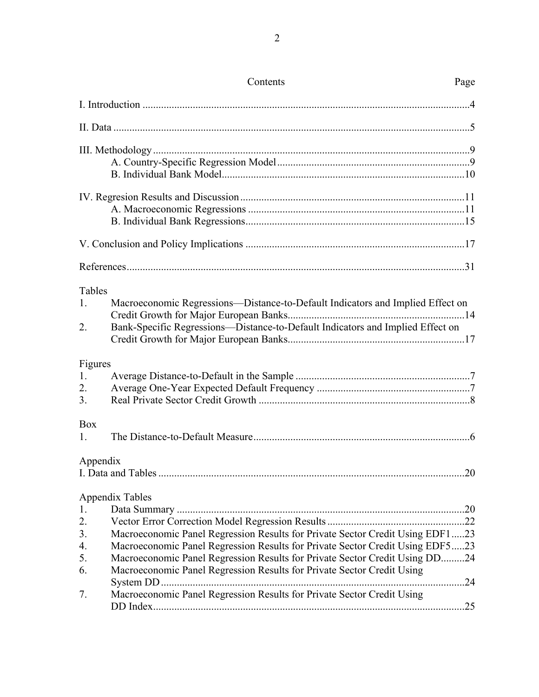|                           | Contents                                                                                                                                                         | Page |
|---------------------------|------------------------------------------------------------------------------------------------------------------------------------------------------------------|------|
|                           |                                                                                                                                                                  |      |
|                           |                                                                                                                                                                  |      |
|                           |                                                                                                                                                                  |      |
|                           |                                                                                                                                                                  |      |
|                           |                                                                                                                                                                  |      |
|                           |                                                                                                                                                                  |      |
| Tables<br>1.<br>2.        | Macroeconomic Regressions-Distance-to-Default Indicators and Implied Effect on<br>Bank-Specific Regressions-Distance-to-Default Indicators and Implied Effect on |      |
| Figures<br>1.<br>2.<br>3. |                                                                                                                                                                  |      |
| Box<br>1.                 |                                                                                                                                                                  |      |
| Appendix                  |                                                                                                                                                                  | 20   |
| 1.                        | <b>Appendix Tables</b>                                                                                                                                           |      |
| 2.                        |                                                                                                                                                                  |      |
| 3.                        | Macroeconomic Panel Regression Results for Private Sector Credit Using EDF123                                                                                    |      |
| 4.                        | Macroeconomic Panel Regression Results for Private Sector Credit Using EDF523                                                                                    |      |
| 5.                        | Macroeconomic Panel Regression Results for Private Sector Credit Using DD24                                                                                      |      |
| 6.                        | Macroeconomic Panel Regression Results for Private Sector Credit Using                                                                                           |      |
|                           |                                                                                                                                                                  |      |
| 7.                        | Macroeconomic Panel Regression Results for Private Sector Credit Using                                                                                           | .25  |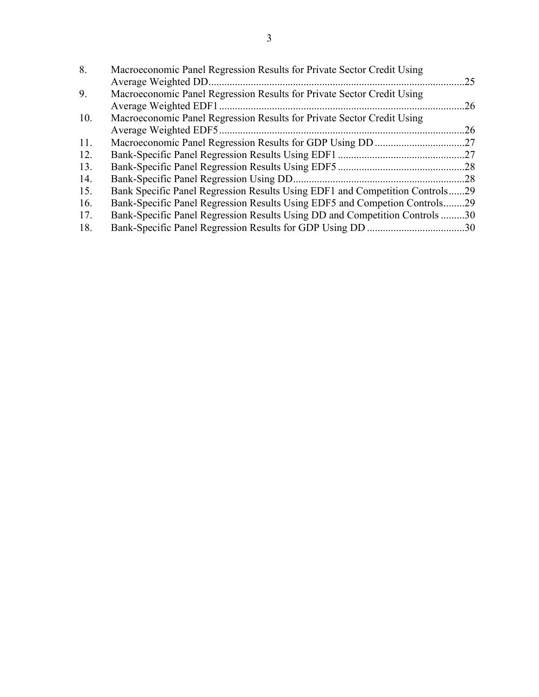| 8.  | Macroeconomic Panel Regression Results for Private Sector Credit Using     |     |
|-----|----------------------------------------------------------------------------|-----|
|     | Average Weighted DD                                                        | 25  |
| 9.  | Macroeconomic Panel Regression Results for Private Sector Credit Using     |     |
|     | Average Weighted EDF1                                                      | .26 |
| 10. | Macroeconomic Panel Regression Results for Private Sector Credit Using     |     |
|     | Average Weighted EDF5.                                                     | 26  |
| 11. |                                                                            |     |
| 12. |                                                                            |     |
| 13. |                                                                            | .28 |
| 14. |                                                                            | .28 |
| 15. | Bank Specific Panel Regression Results Using EDF1 and Competition Controls | 29  |
| 16. | Bank-Specific Panel Regression Results Using EDF5 and Competion Controls.  | .29 |
| 17. | Bank-Specific Panel Regression Results Using DD and Competition Controls30 |     |
| 18. |                                                                            |     |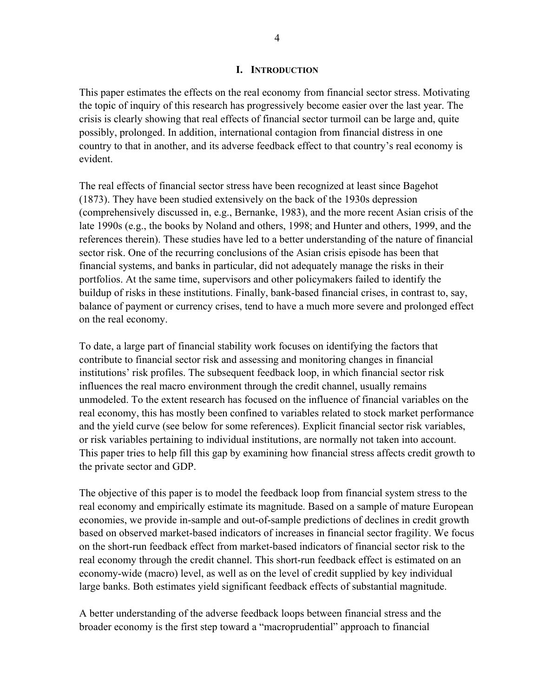#### **I. INTRODUCTION**

This paper estimates the effects on the real economy from financial sector stress. Motivating the topic of inquiry of this research has progressively become easier over the last year. The crisis is clearly showing that real effects of financial sector turmoil can be large and, quite possibly, prolonged. In addition, international contagion from financial distress in one country to that in another, and its adverse feedback effect to that country's real economy is evident.

The real effects of financial sector stress have been recognized at least since Bagehot (1873). They have been studied extensively on the back of the 1930s depression (comprehensively discussed in, e.g., Bernanke, 1983), and the more recent Asian crisis of the late 1990s (e.g., the books by Noland and others, 1998; and Hunter and others, 1999, and the references therein). These studies have led to a better understanding of the nature of financial sector risk. One of the recurring conclusions of the Asian crisis episode has been that financial systems, and banks in particular, did not adequately manage the risks in their portfolios. At the same time, supervisors and other policymakers failed to identify the buildup of risks in these institutions. Finally, bank-based financial crises, in contrast to, say, balance of payment or currency crises, tend to have a much more severe and prolonged effect on the real economy.

To date, a large part of financial stability work focuses on identifying the factors that contribute to financial sector risk and assessing and monitoring changes in financial institutions' risk profiles. The subsequent feedback loop, in which financial sector risk influences the real macro environment through the credit channel, usually remains unmodeled. To the extent research has focused on the influence of financial variables on the real economy, this has mostly been confined to variables related to stock market performance and the yield curve (see below for some references). Explicit financial sector risk variables, or risk variables pertaining to individual institutions, are normally not taken into account. This paper tries to help fill this gap by examining how financial stress affects credit growth to the private sector and GDP.

The objective of this paper is to model the feedback loop from financial system stress to the real economy and empirically estimate its magnitude. Based on a sample of mature European economies, we provide in-sample and out-of-sample predictions of declines in credit growth based on observed market-based indicators of increases in financial sector fragility. We focus on the short-run feedback effect from market-based indicators of financial sector risk to the real economy through the credit channel. This short-run feedback effect is estimated on an economy-wide (macro) level, as well as on the level of credit supplied by key individual large banks. Both estimates yield significant feedback effects of substantial magnitude.

A better understanding of the adverse feedback loops between financial stress and the broader economy is the first step toward a "macroprudential" approach to financial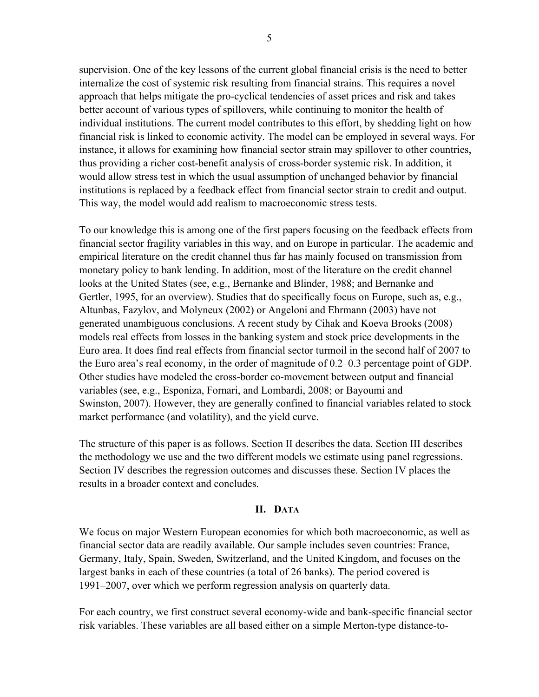supervision. One of the key lessons of the current global financial crisis is the need to better internalize the cost of systemic risk resulting from financial strains. This requires a novel approach that helps mitigate the pro-cyclical tendencies of asset prices and risk and takes better account of various types of spillovers, while continuing to monitor the health of individual institutions. The current model contributes to this effort, by shedding light on how financial risk is linked to economic activity. The model can be employed in several ways. For instance, it allows for examining how financial sector strain may spillover to other countries, thus providing a richer cost-benefit analysis of cross-border systemic risk. In addition, it would allow stress test in which the usual assumption of unchanged behavior by financial institutions is replaced by a feedback effect from financial sector strain to credit and output. This way, the model would add realism to macroeconomic stress tests.

To our knowledge this is among one of the first papers focusing on the feedback effects from financial sector fragility variables in this way, and on Europe in particular. The academic and empirical literature on the credit channel thus far has mainly focused on transmission from monetary policy to bank lending. In addition, most of the literature on the credit channel looks at the United States (see, e.g., Bernanke and Blinder, 1988; and Bernanke and Gertler, 1995, for an overview). Studies that do specifically focus on Europe, such as, e.g., Altunbas, Fazylov, and Molyneux (2002) or Angeloni and Ehrmann (2003) have not generated unambiguous conclusions. A recent study by Cihak and Koeva Brooks (2008) models real effects from losses in the banking system and stock price developments in the Euro area. It does find real effects from financial sector turmoil in the second half of 2007 to the Euro area's real economy, in the order of magnitude of 0.2–0.3 percentage point of GDP. Other studies have modeled the cross-border co-movement between output and financial variables (see, e.g., Esponiza, Fornari, and Lombardi, 2008; or Bayoumi and Swinston, 2007). However, they are generally confined to financial variables related to stock market performance (and volatility), and the yield curve.

The structure of this paper is as follows. Section II describes the data. Section III describes the methodology we use and the two different models we estimate using panel regressions. Section IV describes the regression outcomes and discusses these. Section IV places the results in a broader context and concludes.

#### **II. DATA**

We focus on major Western European economies for which both macroeconomic, as well as financial sector data are readily available. Our sample includes seven countries: France, Germany, Italy, Spain, Sweden, Switzerland, and the United Kingdom, and focuses on the largest banks in each of these countries (a total of 26 banks). The period covered is 1991–2007, over which we perform regression analysis on quarterly data.

For each country, we first construct several economy-wide and bank-specific financial sector risk variables. These variables are all based either on a simple Merton-type distance-to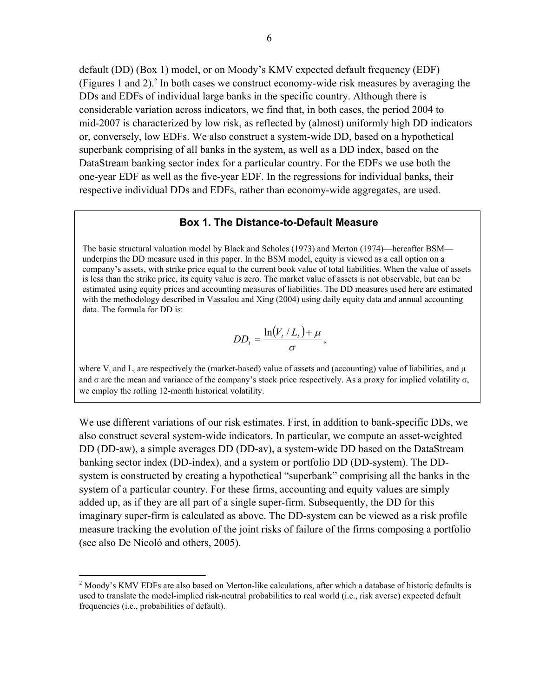default (DD) (Box 1) model, or on Moody's KMV expected default frequency (EDF) (Figures 1 and 2).<sup>2</sup> In both cases we construct economy-wide risk measures by averaging the DDs and EDFs of individual large banks in the specific country. Although there is considerable variation across indicators, we find that, in both cases, the period 2004 to mid-2007 is characterized by low risk, as reflected by (almost) uniformly high DD indicators or, conversely, low EDFs. We also construct a system-wide DD, based on a hypothetical superbank comprising of all banks in the system, as well as a DD index, based on the DataStream banking sector index for a particular country. For the EDFs we use both the one-year EDF as well as the five-year EDF. In the regressions for individual banks, their respective individual DDs and EDFs, rather than economy-wide aggregates, are used.

#### **Box 1. The Distance-to-Default Measure**

The basic structural valuation model by Black and Scholes (1973) and Merton (1974)—hereafter BSM underpins the DD measure used in this paper. In the BSM model, equity is viewed as a call option on a company's assets, with strike price equal to the current book value of total liabilities. When the value of assets is less than the strike price, its equity value is zero. The market value of assets is not observable, but can be estimated using equity prices and accounting measures of liabilities. The DD measures used here are estimated with the methodology described in Vassalou and Xing (2004) using daily equity data and annual accounting data. The formula for DD is:

$$
DD_t = \frac{\ln(V_t/L_t) + \mu}{\sigma},
$$

where V<sub>t</sub> and L<sub>t</sub> are respectively the (market-based) value of assets and (accounting) value of liabilities, and  $\mu$ and  $\sigma$  are the mean and variance of the company's stock price respectively. As a proxy for implied volatility  $\sigma$ , we employ the rolling 12-month historical volatility.

We use different variations of our risk estimates. First, in addition to bank-specific DDs, we also construct several system-wide indicators. In particular, we compute an asset-weighted DD (DD-aw), a simple averages DD (DD-av), a system-wide DD based on the DataStream banking sector index (DD-index), and a system or portfolio DD (DD-system). The DDsystem is constructed by creating a hypothetical "superbank" comprising all the banks in the system of a particular country. For these firms, accounting and equity values are simply added up, as if they are all part of a single super-firm. Subsequently, the DD for this imaginary super-firm is calculated as above. The DD-system can be viewed as a risk profile measure tracking the evolution of the joint risks of failure of the firms composing a portfolio (see also De Nicoló and others, 2005).

<u>.</u>

 $2 \text{ Moody's KMV EDFs}$  are also based on Merton-like calculations, after which a database of historic defaults is used to translate the model-implied risk-neutral probabilities to real world (i.e., risk averse) expected default frequencies (i.e., probabilities of default).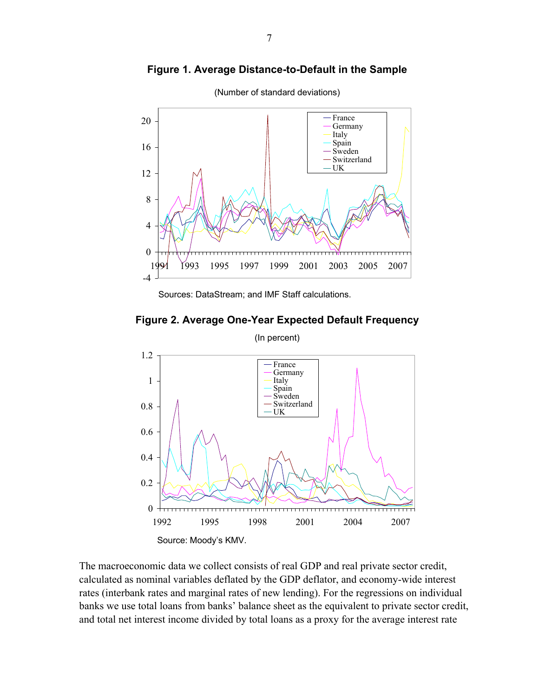

**Figure 1. Average Distance-to-Default in the Sample**







The macroeconomic data we collect consists of real GDP and real private sector credit, calculated as nominal variables deflated by the GDP deflator, and economy-wide interest rates (interbank rates and marginal rates of new lending). For the regressions on individual banks we use total loans from banks' balance sheet as the equivalent to private sector credit, and total net interest income divided by total loans as a proxy for the average interest rate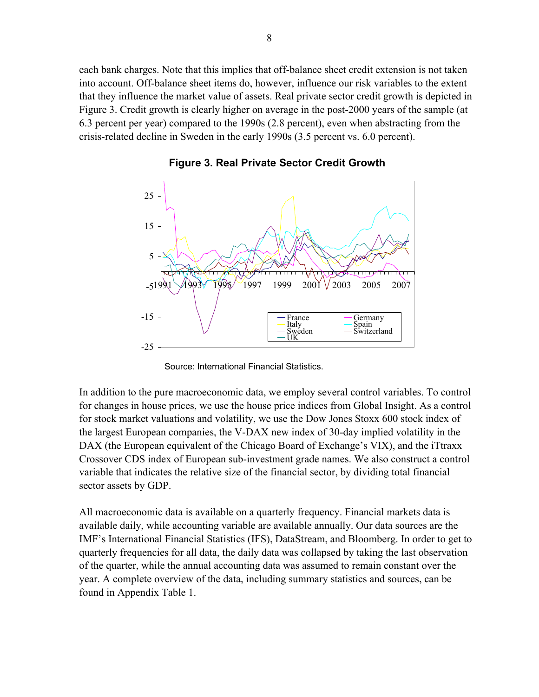each bank charges. Note that this implies that off-balance sheet credit extension is not taken into account. Off-balance sheet items do, however, influence our risk variables to the extent that they influence the market value of assets. Real private sector credit growth is depicted in Figure 3. Credit growth is clearly higher on average in the post-2000 years of the sample (at 6.3 percent per year) compared to the 1990s (2.8 percent), even when abstracting from the crisis-related decline in Sweden in the early 1990s (3.5 percent vs. 6.0 percent).



**Figure 3. Real Private Sector Credit Growth**

Source: International Financial Statistics.

In addition to the pure macroeconomic data, we employ several control variables. To control for changes in house prices, we use the house price indices from Global Insight. As a control for stock market valuations and volatility, we use the Dow Jones Stoxx 600 stock index of the largest European companies, the V-DAX new index of 30-day implied volatility in the DAX (the European equivalent of the Chicago Board of Exchange's VIX), and the iTtraxx Crossover CDS index of European sub-investment grade names. We also construct a control variable that indicates the relative size of the financial sector, by dividing total financial sector assets by GDP.

All macroeconomic data is available on a quarterly frequency. Financial markets data is available daily, while accounting variable are available annually. Our data sources are the IMF's International Financial Statistics (IFS), DataStream, and Bloomberg. In order to get to quarterly frequencies for all data, the daily data was collapsed by taking the last observation of the quarter, while the annual accounting data was assumed to remain constant over the year. A complete overview of the data, including summary statistics and sources, can be found in Appendix Table 1.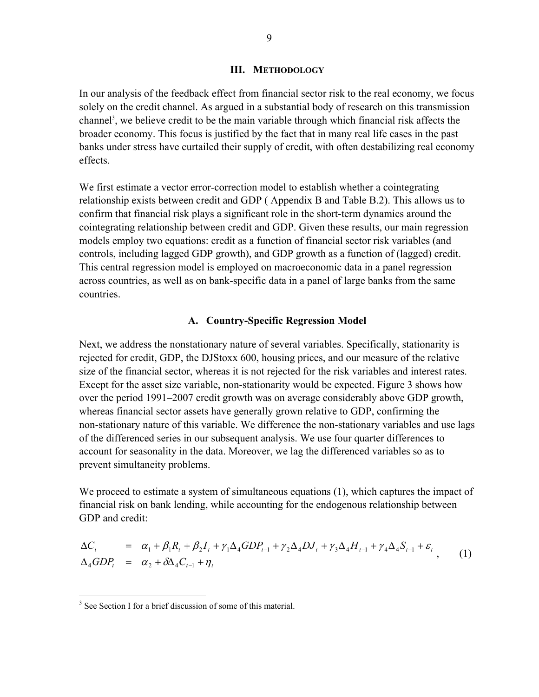#### **III. METHODOLOGY**

In our analysis of the feedback effect from financial sector risk to the real economy, we focus solely on the credit channel. As argued in a substantial body of research on this transmission channel<sup>3</sup>, we believe credit to be the main variable through which financial risk affects the broader economy. This focus is justified by the fact that in many real life cases in the past banks under stress have curtailed their supply of credit, with often destabilizing real economy effects.

We first estimate a vector error-correction model to establish whether a cointegrating relationship exists between credit and GDP ( Appendix B and Table B.2). This allows us to confirm that financial risk plays a significant role in the short-term dynamics around the cointegrating relationship between credit and GDP. Given these results, our main regression models employ two equations: credit as a function of financial sector risk variables (and controls, including lagged GDP growth), and GDP growth as a function of (lagged) credit. This central regression model is employed on macroeconomic data in a panel regression across countries, as well as on bank-specific data in a panel of large banks from the same countries.

#### **A. Country-Specific Regression Model**

Next, we address the nonstationary nature of several variables. Specifically, stationarity is rejected for credit, GDP, the DJStoxx 600, housing prices, and our measure of the relative size of the financial sector, whereas it is not rejected for the risk variables and interest rates. Except for the asset size variable, non-stationarity would be expected. Figure 3 shows how over the period 1991–2007 credit growth was on average considerably above GDP growth, whereas financial sector assets have generally grown relative to GDP, confirming the non-stationary nature of this variable. We difference the non-stationary variables and use lags of the differenced series in our subsequent analysis. We use four quarter differences to account for seasonality in the data. Moreover, we lag the differenced variables so as to prevent simultaneity problems.

We proceed to estimate a system of simultaneous equations  $(1)$ , which captures the impact of financial risk on bank lending, while accounting for the endogenous relationship between GDP and credit:

$$
\Delta C_t = \alpha_1 + \beta_1 R_t + \beta_2 I_t + \gamma_1 \Delta_4 GDP_{t-1} + \gamma_2 \Delta_4 DJ_t + \gamma_3 \Delta_4 H_{t-1} + \gamma_4 \Delta_4 S_{t-1} + \varepsilon_t
$$
  
\n
$$
\Delta_4 GDP_t = \alpha_2 + \delta \Delta_4 C_{t-1} + \eta_t
$$
 (1)

<sup>&</sup>lt;sup>3</sup> See Section I for a brief discussion of some of this material.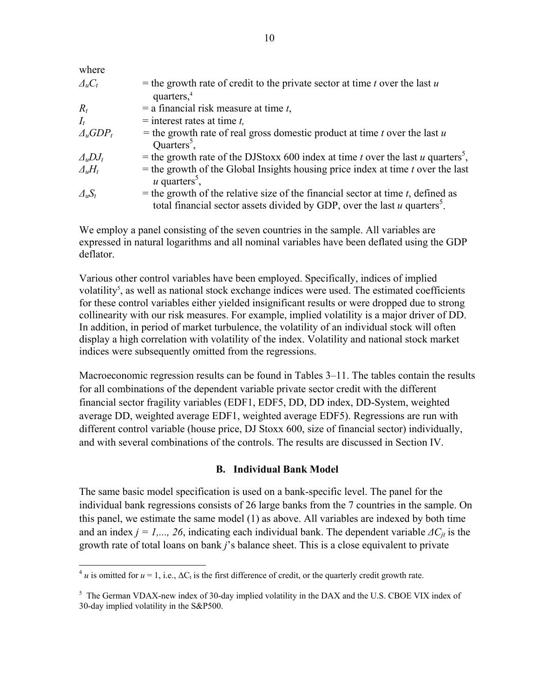| where               |                                                                                                                                                                               |
|---------------------|-------------------------------------------------------------------------------------------------------------------------------------------------------------------------------|
| $\mathcal{A}_u C_t$ | = the growth rate of credit to the private sector at time $t$ over the last $u$<br>quarters, $4$                                                                              |
| $R_t$               | $=$ a financial risk measure at time t,                                                                                                                                       |
| $I_t$               | $=$ interest rates at time t,                                                                                                                                                 |
| $\Delta_u GDP_t$    | = the growth rate of real gross domestic product at time t over the last $u$<br>Quarters <sup>5</sup> .                                                                       |
| $\Delta_uDJ_t$      | = the growth rate of the DJStoxx 600 index at time t over the last u quarters <sup>5</sup> ,                                                                                  |
| $\Delta_u H_t$      | $=$ the growth of the Global Insights housing price index at time t over the last<br>$u$ quarters <sup>5</sup> ,                                                              |
| $\Delta_u S_t$      | = the growth of the relative size of the financial sector at time $t$ , defined as<br>total financial sector assets divided by GDP, over the last $u$ quarters <sup>5</sup> . |

We employ a panel consisting of the seven countries in the sample. All variables are expressed in natural logarithms and all nominal variables have been deflated using the GDP deflator.

Various other control variables have been employed. Specifically, indices of implied volatility<sup>5</sup>, as well as national stock exchange indices were used. The estimated coefficients for these control variables either yielded insignificant results or were dropped due to strong collinearity with our risk measures. For example, implied volatility is a major driver of DD. In addition, in period of market turbulence, the volatility of an individual stock will often display a high correlation with volatility of the index. Volatility and national stock market indices were subsequently omitted from the regressions.

Macroeconomic regression results can be found in Tables 3–11. The tables contain the results for all combinations of the dependent variable private sector credit with the different financial sector fragility variables (EDF1, EDF5, DD, DD index, DD-System, weighted average DD, weighted average EDF1, weighted average EDF5). Regressions are run with different control variable (house price, DJ Stoxx 600, size of financial sector) individually, and with several combinations of the controls. The results are discussed in Section IV.

## **B. Individual Bank Model**

The same basic model specification is used on a bank-specific level. The panel for the individual bank regressions consists of 26 large banks from the 7 countries in the sample. On this panel, we estimate the same model (1) as above. All variables are indexed by both time and an index  $j = 1, \ldots, 26$ , indicating each individual bank. The dependent variable  $\Delta C_{it}$  is the growth rate of total loans on bank *j*'s balance sheet. This is a close equivalent to private

<u>.</u>

 $^4$  *u* is omitted for  $u = 1$ , i.e.,  $\Delta C_t$  is the first difference of credit, or the quarterly credit growth rate.

<sup>&</sup>lt;sup>5</sup> The German VDAX-new index of 30-day implied volatility in the DAX and the U.S. CBOE VIX index of 30-day implied volatility in the S&P500.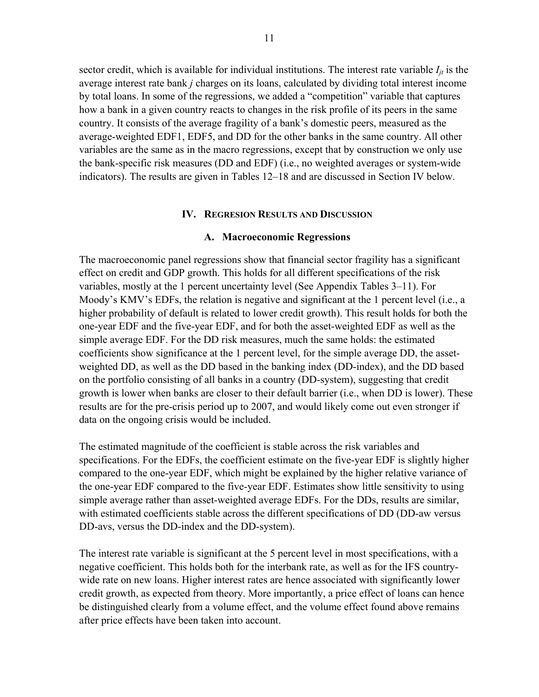sector credit, which is available for individual institutions. The interest rate variable  $I_{it}$  is the average interest rate bank *j* charges on its loans, calculated by dividing total interest income by total loans. In some of the regressions, we added a "competition" variable that captures how a bank in a given country reacts to changes in the risk profile of its peers in the same country. It consists of the average fragility of a bank's domestic peers, measured as the average-weighted EDF1, EDF5, and DD for the other banks in the same country. All other variables are the same as in the macro regressions, except that by construction we only use the bank-specific risk measures (DD and EDF) (i.e., no weighted averages or system-wide indicators). The results are given in Tables 12–18 and are discussed in Section IV below.

#### **IV. REGRESION RESULTS AND DISCUSSION**

#### **A. Macroeconomic Regressions**

The macroeconomic panel regressions show that financial sector fragility has a significant effect on credit and GDP growth. This holds for all different specifications of the risk variables, mostly at the 1 percent uncertainty level (See Appendix Tables 3–11). For Moody's KMV's EDFs, the relation is negative and significant at the 1 percent level (i.e., a higher probability of default is related to lower credit growth). This result holds for both the one-year EDF and the five-year EDF, and for both the asset-weighted EDF as well as the simple average EDF. For the DD risk measures, much the same holds: the estimated coefficients show significance at the 1 percent level, for the simple average DD, the assetweighted DD, as well as the DD based in the banking index (DD-index), and the DD based on the portfolio consisting of all banks in a country (DD-system), suggesting that credit growth is lower when banks are closer to their default barrier (i.e., when DD is lower). These results are for the pre-crisis period up to 2007, and would likely come out even stronger if data on the ongoing crisis would be included.

The estimated magnitude of the coefficient is stable across the risk variables and specifications. For the EDFs, the coefficient estimate on the five-year EDF is slightly higher compared to the one-year EDF, which might be explained by the higher relative variance of the one-year EDF compared to the five-year EDF. Estimates show little sensitivity to using simple average rather than asset-weighted average EDFs. For the DDs, results are similar, with estimated coefficients stable across the different specifications of DD (DD-aw versus DD-avs, versus the DD-index and the DD-system).

The interest rate variable is significant at the 5 percent level in most specifications, with a negative coefficient. This holds both for the interbank rate, as well as for the IFS countrywide rate on new loans. Higher interest rates are hence associated with significantly lower credit growth, as expected from theory. More importantly, a price effect of loans can hence be distinguished clearly from a volume effect, and the volume effect found above remains after price effects have been taken into account.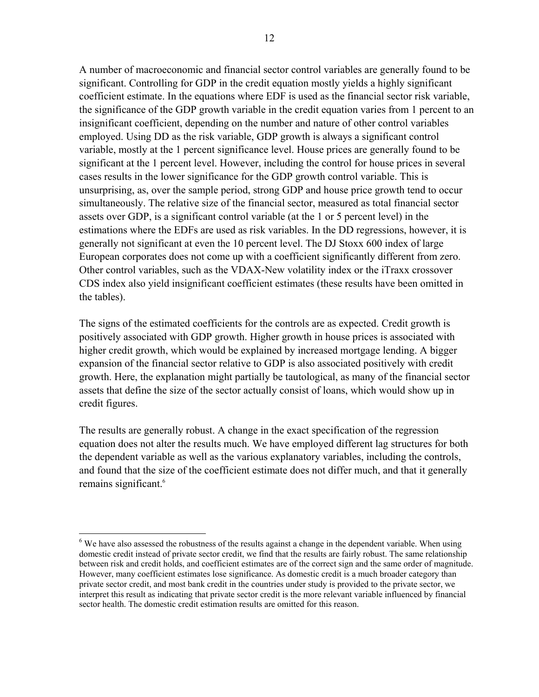12

A number of macroeconomic and financial sector control variables are generally found to be significant. Controlling for GDP in the credit equation mostly yields a highly significant coefficient estimate. In the equations where EDF is used as the financial sector risk variable, the significance of the GDP growth variable in the credit equation varies from 1 percent to an insignificant coefficient, depending on the number and nature of other control variables employed. Using DD as the risk variable, GDP growth is always a significant control variable, mostly at the 1 percent significance level. House prices are generally found to be significant at the 1 percent level. However, including the control for house prices in several cases results in the lower significance for the GDP growth control variable. This is unsurprising, as, over the sample period, strong GDP and house price growth tend to occur simultaneously. The relative size of the financial sector, measured as total financial sector assets over GDP, is a significant control variable (at the 1 or 5 percent level) in the estimations where the EDFs are used as risk variables. In the DD regressions, however, it is generally not significant at even the 10 percent level. The DJ Stoxx 600 index of large European corporates does not come up with a coefficient significantly different from zero. Other control variables, such as the VDAX-New volatility index or the iTraxx crossover CDS index also yield insignificant coefficient estimates (these results have been omitted in the tables).

The signs of the estimated coefficients for the controls are as expected. Credit growth is positively associated with GDP growth. Higher growth in house prices is associated with higher credit growth, which would be explained by increased mortgage lending. A bigger expansion of the financial sector relative to GDP is also associated positively with credit growth. Here, the explanation might partially be tautological, as many of the financial sector assets that define the size of the sector actually consist of loans, which would show up in credit figures.

The results are generally robust. A change in the exact specification of the regression equation does not alter the results much. We have employed different lag structures for both the dependent variable as well as the various explanatory variables, including the controls, and found that the size of the coefficient estimate does not differ much, and that it generally remains significant.<sup>6</sup>

1

<sup>&</sup>lt;sup>6</sup> We have also assessed the robustness of the results against a change in the dependent variable. When using domestic credit instead of private sector credit, we find that the results are fairly robust. The same relationship between risk and credit holds, and coefficient estimates are of the correct sign and the same order of magnitude. However, many coefficient estimates lose significance. As domestic credit is a much broader category than private sector credit, and most bank credit in the countries under study is provided to the private sector, we interpret this result as indicating that private sector credit is the more relevant variable influenced by financial sector health. The domestic credit estimation results are omitted for this reason.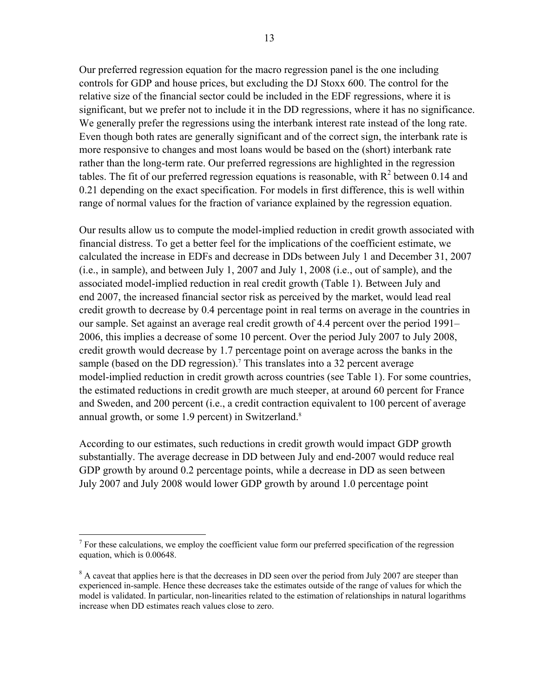Our preferred regression equation for the macro regression panel is the one including controls for GDP and house prices, but excluding the DJ Stoxx 600. The control for the relative size of the financial sector could be included in the EDF regressions, where it is significant, but we prefer not to include it in the DD regressions, where it has no significance. We generally prefer the regressions using the interbank interest rate instead of the long rate. Even though both rates are generally significant and of the correct sign, the interbank rate is more responsive to changes and most loans would be based on the (short) interbank rate rather than the long-term rate. Our preferred regressions are highlighted in the regression tables. The fit of our preferred regression equations is reasonable, with  $R^2$  between 0.14 and 0.21 depending on the exact specification. For models in first difference, this is well within range of normal values for the fraction of variance explained by the regression equation.

Our results allow us to compute the model-implied reduction in credit growth associated with financial distress. To get a better feel for the implications of the coefficient estimate, we calculated the increase in EDFs and decrease in DDs between July 1 and December 31, 2007 (i.e., in sample), and between July 1, 2007 and July 1, 2008 (i.e., out of sample), and the associated model-implied reduction in real credit growth (Table 1). Between July and end 2007, the increased financial sector risk as perceived by the market, would lead real credit growth to decrease by 0.4 percentage point in real terms on average in the countries in our sample. Set against an average real credit growth of 4.4 percent over the period 1991– 2006, this implies a decrease of some 10 percent. Over the period July 2007 to July 2008, credit growth would decrease by 1.7 percentage point on average across the banks in the sample (based on the DD regression).<sup>7</sup> This translates into a 32 percent average model-implied reduction in credit growth across countries (see Table 1). For some countries, the estimated reductions in credit growth are much steeper, at around 60 percent for France and Sweden, and 200 percent (i.e., a credit contraction equivalent to 100 percent of average annual growth, or some 1.9 percent) in Switzerland.<sup>8</sup>

According to our estimates, such reductions in credit growth would impact GDP growth substantially. The average decrease in DD between July and end-2007 would reduce real GDP growth by around 0.2 percentage points, while a decrease in DD as seen between July 2007 and July 2008 would lower GDP growth by around 1.0 percentage point

<u>.</u>

 $<sup>7</sup>$  For these calculations, we employ the coefficient value form our preferred specification of the regression</sup> equation, which is 0.00648.

<sup>&</sup>lt;sup>8</sup> A caveat that applies here is that the decreases in DD seen over the period from July 2007 are steeper than experienced in-sample. Hence these decreases take the estimates outside of the range of values for which the model is validated. In particular, non-linearities related to the estimation of relationships in natural logarithms increase when DD estimates reach values close to zero.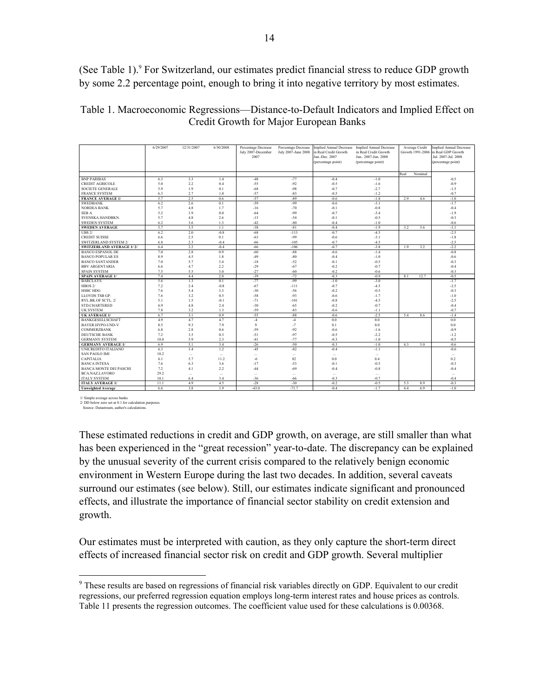(See Table 1).<sup>9</sup> For Switzerland, our estimates predict financial stress to reduce GDP growth by some 2.2 percentage point, enough to bring it into negative territory by most estimates.

| Table 1. Macroeconomic Regressions—Distance-to-Default Indicators and Implied Effect on |  |
|-----------------------------------------------------------------------------------------|--|
| Credit Growth for Major European Banks                                                  |  |

|                                                      | 6/29/2007   | 12/31/2007      | 6/30/2008       | Percentage Decrease | Percentage Decrease | <b>Implied Annual Decrease</b> | Implied Annual Decrease |      | Average Credit   | <b>Implied Annual Decrease</b> |
|------------------------------------------------------|-------------|-----------------|-----------------|---------------------|---------------------|--------------------------------|-------------------------|------|------------------|--------------------------------|
|                                                      |             |                 |                 | July 2007-December  | July 2007-June 2008 | in Real Credit Growth          | in Real Credit Growth   |      | Growth 1991-2006 | in Real GDP Growth             |
|                                                      |             |                 |                 | 2007                |                     | Jun.-Dec. 2007                 | Jun., 2007-Jun. 2008    |      |                  | Jul. 2007-Jul. 2008            |
|                                                      |             |                 |                 |                     |                     | (percentage point)             | (percentage point)      |      |                  | percentage point)              |
|                                                      |             |                 |                 |                     |                     |                                |                         |      |                  |                                |
|                                                      |             |                 |                 |                     |                     |                                |                         | Real | Nominal          |                                |
| <b>BNP PARIBAS</b>                                   | 6.3         | 3.3             | 1.4             | $-48$               | $-77$               | $-0.4$                         | $-1.0$                  |      |                  | $-0.5$                         |
| <b>CREDIT AGRICOLE</b>                               | 5.0         | 2.2             | 0.4             | $-55$               | $-92$               | $-0.5$                         | $-1.6$                  |      |                  | $-0.9$                         |
| <b>SOCIETE GENERALE</b>                              | 5.9         | 1.9             | 0.1             | $-68$               | $-98$               | $-0.7$                         | $-2.7$                  |      |                  | $-1.5$                         |
| <b>FRANCE SYSTEM</b>                                 | 6.3         | 2.7             | 1.0             | $-57$               | $-83$               | $-0.5$                         | $-1.2$                  |      |                  | $-0.7$                         |
| <b>FRANCE AVERAGE 1/</b>                             | 5.7         | 2.5             | 0.6             | $-57$               | $-89$               | $-0.6$                         | $-1.8$                  | 2.9  | 4.6              | $-1.0$                         |
| <b>SWEDBANK</b>                                      | 6.2         | 2.6             | 0.1             | $-59$               | $-99$               | $-0.6$                         | $-3.1$                  |      |                  | $-1.7$                         |
| <b>NORDEA BANK</b>                                   | 5.7         | 4.8             | 1.7             | $-16$               | $-70$               | $-0.1$                         | $-0.8$                  |      |                  | $-0.4$                         |
| <b>SEBA</b>                                          | 5.2         | 1.9             | 0.0             | $-64$               | $-99$               | $-0.7$                         | $-3.4$                  |      |                  | $-1.9$                         |
| <b>SVENSKA HANDBKN.</b>                              | 5.7         | 4.8             | 2.6             | $-15$               | $-54$               | $-0.1$                         | $-0.5$                  |      |                  | $-0.3$                         |
| <b>SWEDEN SYSTEM</b>                                 | 6.2         | 3.6             | 1.3             | $-42$               | $-80$               | $-0.4$                         | $-1.0$                  |      |                  | $-0.6$                         |
| <b>SWEDEN AVERAGE</b>                                | 5.7         | 3.5             | 1.1             | $-38$               | $-81$               | $-0.4$                         | $-1.9$                  | 3.2  | 5.6              | $-1.1$                         |
| $UBS$ 2/                                             | 6.2         | 2.0             | $-0.8$          | $-68$               | $-113$              | $-0.7$                         | $-4.5$                  |      |                  | $-2.5$                         |
| <b>CREDIT SUISSE</b>                                 | 6.6         | 2.5             | 0.1             | $-63$               | $-99$               | $-0.6$                         | $-3.1$                  |      |                  | $-1.8$                         |
| <b>SWITZERLAND SYSTEM 2</b>                          | 6.8         | 2.3             | $-0.4$          | $-66$               | $-105$              | $-0.7$                         | $-4.5$                  |      |                  | $-2.5$                         |
| <b>SWITZERLAND AVERAGE 1/2/</b>                      | 6.4         | 2.2             | $-0.4$          | $-66$               | $-106$              | $-0.7$                         | $-3.8$                  | 19   | 3.2              | $-2.2$                         |
| <b>BANCO ESPANOL DE</b>                              | 7.0         | 2.8             | 0.9             | $-60$               | $-88$               | $-0.6$                         | $-1.4$                  |      |                  | $-0.8$                         |
| <b>BANCO POPULAR ES</b>                              | 8.9         | 4.5             | 1.8             | $-49$               | $-80$               | $-0.4$                         | $-1.0$                  |      |                  | $-0.6$                         |
| <b>BANCO SANTANDER</b>                               | 7.0         | 5.7             | 3.4             | $-18$               | $-52$               | $-0.1$                         | $-0.5$                  |      |                  | $-0.3$                         |
| <b>BBV ARGENTARIA</b>                                | 6.6         | 4.7             | 2.2             | $-29$               | $-67$               | $-0.2$                         | $-0.7$                  |      |                  | $-0.4$                         |
| <b>SPAIN SYSTEM</b>                                  | 7.5         | 5.5             | 3.0             | $-27$               | $-60$               | $-0.2$                         | $-0.6$                  |      |                  | $-0.3$                         |
| <b>SPAIN AVERAGE 1/</b>                              | 7.4         | 4.4             | 2.0             | $-39$               | $-72$               | $-0.3$                         | $-0.9$                  | 8.1  | 12.7             | $-0.5$                         |
| <b>BARCLAYS</b>                                      | 5.6         | 1.3             | 0.1             | $-77$               | $-99$               | $-1.0$                         | $-3.0$                  |      |                  | $-1.7$                         |
| HBOS2/                                               | 7.2         | 2.4             | $-0.8$          | $-67$               | $-111$              | $-0.7$                         | $-4.5$                  |      |                  | $-2.5$                         |
| <b>HSBC HDG</b>                                      | 7.6         | 5.4             | 3.3             | $-30$               | $-56$               | $-0.2$                         | $-0.5$                  |      |                  | $-0.3$                         |
| LLOYDS TSB GP.                                       | 7.6         | 3.2             | 0.5             | $-58$               | $-93$               | $-0.6$                         | $-1.7$                  |      |                  | $-1.0$                         |
| RYL.BK.OF SCTL. 2/                                   | 5.1         | 1.5             | $-0.1$          | $-71$               | $-101$              | $-0.8$                         | $-4.5$                  |      |                  | $-2.5$                         |
| <b>STD.CHARTERED</b>                                 | 6.9         | 4.8             | 2.4             | $-30$               | $-65$               | $-0.2$                         | $-0.7$                  |      |                  | $-0.4$                         |
| <b>UK SYSTEM</b>                                     | 7.8         | 3.2             | 1.3             | $-59$               | $-83$               | $-0.6$                         | $-1.1$                  |      |                  | $-0.7$                         |
| <b>UK AVERAGE 1/</b>                                 | 6.7         | 3.1             | 0.9             | $-55$               | $-88$               | $-0.6$                         | $-2.5$                  | 5.4  | 8.6              | $-1.4$                         |
| <b>BANKGESELLSCHAFT</b>                              | 4.9         | 4.7             | 4.7             | $\overline{4}$      | $\overline{4}$      | 0.0                            | 0.0                     |      |                  | 0.0                            |
| BAYER.HYPO-UND-V                                     | 8.5         | 9.3<br>2.8      | 7.9<br>0.6      | 9<br>$-59$          | $-7$<br>$-92$       | 0.1<br>$-0.6$                  | 0.0<br>$-1.6$           |      |                  | 0.0                            |
| COMMERZBANK                                          | 6.8         |                 |                 |                     |                     |                                |                         |      |                  | $-0.9$                         |
| <b>DEUTSCHE BANK</b>                                 | 7.2         | 3.5             | 0.3             | $-51$               | $-97$               | $-0.5$                         | $-2.2$                  |      |                  | $-1.2$                         |
| <b>GERMANY SYSTEM</b><br><b>GERMANY AVERAGE 1/</b>   | 10.0<br>6.9 | 5.9<br>5.1      | 2.3<br>3.4      | $-41$<br>$-26$      | $-77$<br>$-50$      | $-0.3$<br>$-0.3$               | $-1.0$<br>$-1.0$        | 4.3  | 5.0              | $-0.5$<br>$-0.6$               |
| <b>UNICREDITO ITALIANO</b>                           | 6.3         | 3.4             | 1.2             | $-45$               | $-82$               | $-0.4$                         | -1.1                    |      |                  | $-0.6$                         |
| <b>SAN PAOLO IMI</b>                                 | 10.2        |                 |                 |                     |                     |                                |                         |      |                  |                                |
|                                                      | 6.1         | $\cdots$        | $\sim$          | $\sim$              | $\sim$              | $\sim$                         | $\sim$                  |      |                  | $\sim$                         |
| CAPITALIA                                            |             | 5.7             | 11.2            | $-6$                | 82<br>$-53$         | 0.0                            | 0.4                     |      |                  | 0.2                            |
| <b>BANCA INTESA</b><br><b>BANCA MONTE DEI PASCHI</b> | 7.6<br>7.2  | 6.3<br>4.1      | 3.6<br>2.2      | $-17$<br>$-44$      | $-69$               | $-0.1$<br>$-0.4$               | $-0.5$<br>$-0.8$        |      |                  | $-0.3$<br>$-0.4$               |
| <b>BCA.NAZ.LAVORO</b>                                | 29.2        |                 |                 |                     |                     |                                |                         |      |                  |                                |
| <b>ITALY SYSTEM</b>                                  | 10.1        | $\cdots$<br>6.4 | $\cdots$<br>3.4 | $\cdots$<br>$-36$   | <br>$-66$           | $\cdots$<br>$-0.3$             | $\cdots$<br>$-0.7$      |      |                  | $\cdots$<br>$-0.4$             |
| <b>ITALY AVERAGE 1/</b>                              | 11.1        | 4.9             | 4.5             | $-28$               | $-30$               | $-0.2$                         | $-0.5$                  | 5.3  | 8.9              | $-0.3$                         |
| <b>Unweighted Average</b>                            | 6.6         | 3.8             | 1.9             | $-43.0$             | $-71.7$             | $-0.4$                         | $-1.7$                  | 4.4  | 6.9              | $-1.0$                         |
|                                                      |             |                 |                 |                     |                     |                                |                         |      |                  |                                |

1/ Simple average across banks 2/ DD below zero set at 0.1 for calculation purposes.

Source: Datastream, author's calculations

<u>.</u>

These estimated reductions in credit and GDP growth, on average, are still smaller than what has been experienced in the "great recession" year-to-date. The discrepancy can be explained by the unusual severity of the current crisis compared to the relatively benign economic environment in Western Europe during the last two decades. In addition, several caveats surround our estimates (see below). Still, our estimates indicate significant and pronounced effects, and illustrate the importance of financial sector stability on credit extension and growth.

Our estimates must be interpreted with caution, as they only capture the short-term direct effects of increased financial sector risk on credit and GDP growth. Several multiplier

<sup>&</sup>lt;sup>9</sup> These results are based on regressions of financial risk variables directly on GDP. Equivalent to our credit regressions, our preferred regression equation employs long-term interest rates and house prices as controls. Table 11 presents the regression outcomes. The coefficient value used for these calculations is 0.00368.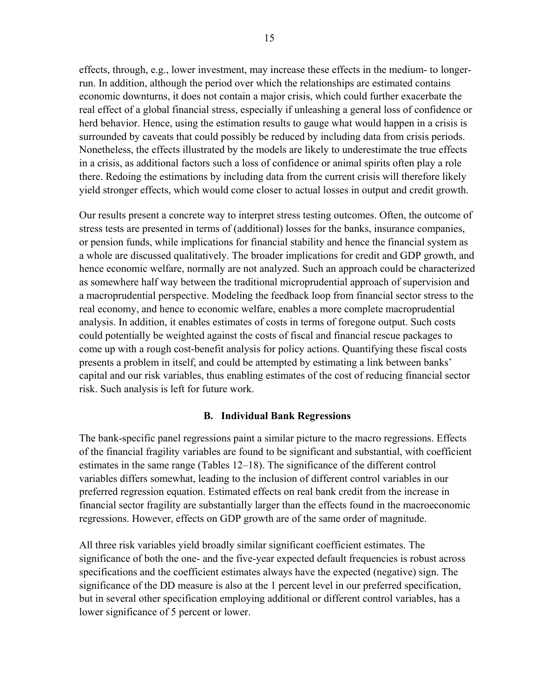effects, through, e.g., lower investment, may increase these effects in the medium- to longerrun. In addition, although the period over which the relationships are estimated contains economic downturns, it does not contain a major crisis, which could further exacerbate the real effect of a global financial stress, especially if unleashing a general loss of confidence or herd behavior. Hence, using the estimation results to gauge what would happen in a crisis is surrounded by caveats that could possibly be reduced by including data from crisis periods. Nonetheless, the effects illustrated by the models are likely to underestimate the true effects in a crisis, as additional factors such a loss of confidence or animal spirits often play a role there. Redoing the estimations by including data from the current crisis will therefore likely yield stronger effects, which would come closer to actual losses in output and credit growth.

Our results present a concrete way to interpret stress testing outcomes. Often, the outcome of stress tests are presented in terms of (additional) losses for the banks, insurance companies, or pension funds, while implications for financial stability and hence the financial system as a whole are discussed qualitatively. The broader implications for credit and GDP growth, and hence economic welfare, normally are not analyzed. Such an approach could be characterized as somewhere half way between the traditional microprudential approach of supervision and a macroprudential perspective. Modeling the feedback loop from financial sector stress to the real economy, and hence to economic welfare, enables a more complete macroprudential analysis. In addition, it enables estimates of costs in terms of foregone output. Such costs could potentially be weighted against the costs of fiscal and financial rescue packages to come up with a rough cost-benefit analysis for policy actions. Quantifying these fiscal costs presents a problem in itself, and could be attempted by estimating a link between banks' capital and our risk variables, thus enabling estimates of the cost of reducing financial sector risk. Such analysis is left for future work.

## **B. Individual Bank Regressions**

The bank-specific panel regressions paint a similar picture to the macro regressions. Effects of the financial fragility variables are found to be significant and substantial, with coefficient estimates in the same range (Tables 12–18). The significance of the different control variables differs somewhat, leading to the inclusion of different control variables in our preferred regression equation. Estimated effects on real bank credit from the increase in financial sector fragility are substantially larger than the effects found in the macroeconomic regressions. However, effects on GDP growth are of the same order of magnitude.

All three risk variables yield broadly similar significant coefficient estimates. The significance of both the one- and the five-year expected default frequencies is robust across specifications and the coefficient estimates always have the expected (negative) sign. The significance of the DD measure is also at the 1 percent level in our preferred specification, but in several other specification employing additional or different control variables, has a lower significance of 5 percent or lower.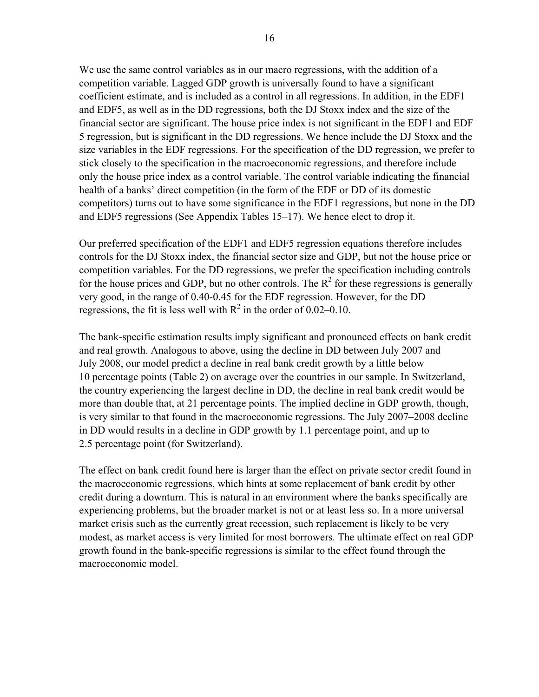We use the same control variables as in our macro regressions, with the addition of a competition variable. Lagged GDP growth is universally found to have a significant coefficient estimate, and is included as a control in all regressions. In addition, in the EDF1 and EDF5, as well as in the DD regressions, both the DJ Stoxx index and the size of the financial sector are significant. The house price index is not significant in the EDF1 and EDF 5 regression, but is significant in the DD regressions. We hence include the DJ Stoxx and the size variables in the EDF regressions. For the specification of the DD regression, we prefer to stick closely to the specification in the macroeconomic regressions, and therefore include only the house price index as a control variable. The control variable indicating the financial health of a banks' direct competition (in the form of the EDF or DD of its domestic competitors) turns out to have some significance in the EDF1 regressions, but none in the DD and EDF5 regressions (See Appendix Tables 15–17). We hence elect to drop it.

Our preferred specification of the EDF1 and EDF5 regression equations therefore includes controls for the DJ Stoxx index, the financial sector size and GDP, but not the house price or competition variables. For the DD regressions, we prefer the specification including controls for the house prices and GDP, but no other controls. The  $\mathbb{R}^2$  for these regressions is generally very good, in the range of 0.40-0.45 for the EDF regression. However, for the DD regressions, the fit is less well with  $R^2$  in the order of 0.02–0.10.

The bank-specific estimation results imply significant and pronounced effects on bank credit and real growth. Analogous to above, using the decline in DD between July 2007 and July 2008, our model predict a decline in real bank credit growth by a little below 10 percentage points (Table 2) on average over the countries in our sample. In Switzerland, the country experiencing the largest decline in DD, the decline in real bank credit would be more than double that, at 21 percentage points. The implied decline in GDP growth, though, is very similar to that found in the macroeconomic regressions. The July 2007–2008 decline in DD would results in a decline in GDP growth by 1.1 percentage point, and up to 2.5 percentage point (for Switzerland).

The effect on bank credit found here is larger than the effect on private sector credit found in the macroeconomic regressions, which hints at some replacement of bank credit by other credit during a downturn. This is natural in an environment where the banks specifically are experiencing problems, but the broader market is not or at least less so. In a more universal market crisis such as the currently great recession, such replacement is likely to be very modest, as market access is very limited for most borrowers. The ultimate effect on real GDP growth found in the bank-specific regressions is similar to the effect found through the macroeconomic model.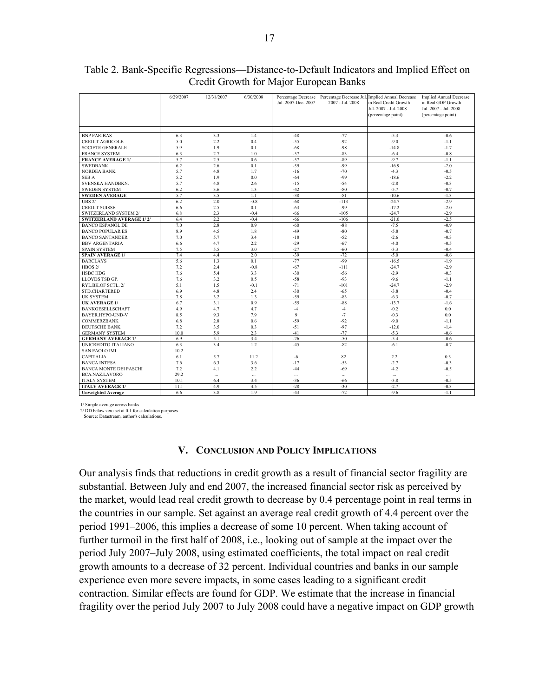|                                 | 6/29/2007 | 12/31/2007 | 6/30/2008 | Percentage Decrease<br>Jul. 2007-Dec. 2007 | Percentage Decrease Jul.<br>2007 - Jul. 2008 | Implied Annual Decrease<br>in Real Credit Growth<br>Jul. 2007 - Jul. 2008<br>(percentage point) | <b>Implied Annual Decrease</b><br>in Real GDP Growth<br>Jul. 2007 - Jul. 2008<br>(percentage point) |
|---------------------------------|-----------|------------|-----------|--------------------------------------------|----------------------------------------------|-------------------------------------------------------------------------------------------------|-----------------------------------------------------------------------------------------------------|
|                                 |           |            |           |                                            |                                              |                                                                                                 |                                                                                                     |
| <b>BNP PARIBAS</b>              | 6.3       | 3.3        | 1.4       | $-48$                                      | $-77$                                        | $-5.3$                                                                                          | $-0.6$                                                                                              |
| <b>CREDIT AGRICOLE</b>          | 5.0       | 2.2        | 0.4       | $-55$                                      | $-92$                                        | $-9.0$                                                                                          | $-1.1$                                                                                              |
| <b>SOCIETE GENERALE</b>         | 5.9       | 1.9        | 0.1       | $-68$                                      | $-98$                                        | $-14.8$                                                                                         | $-1.7$                                                                                              |
| <b>FRANCE SYSTEM</b>            | 6.3       | 2.7        | 1.0       | $-57$                                      | $-83$                                        | $-6.4$                                                                                          | $-0.8$                                                                                              |
| <b>FRANCE AVERAGE 1/</b>        | 5.7       | 2.5        | 0.6       | $-57$                                      | $-89$                                        | $-9.7$                                                                                          | $-1.1$                                                                                              |
| <b>SWEDBANK</b>                 | 6.2       | 2.6        | 0.1       | $-59$                                      | $-99$                                        | $-16.9$                                                                                         | $-2.0$                                                                                              |
| <b>NORDEA BANK</b>              | 5.7       | 4.8        | 1.7       | $-16$                                      | $-70$                                        | $-4.3$                                                                                          | $-0.5$                                                                                              |
| <b>SEBA</b>                     | 5.2       | 1.9        | 0.0       | $-64$                                      | $-99$                                        | $-18.6$                                                                                         | $-2.2$                                                                                              |
| SVENSKA HANDBKN.                | 5.7       | 4.8        | 2.6       | $-15$                                      | $-54$                                        | $-2.8$                                                                                          | $-0.3$                                                                                              |
| <b>SWEDEN SYSTEM</b>            | 6.2       | 3.6        | 1.3       | $-42$                                      | $-80$                                        | $-5.7$                                                                                          | $-0.7$                                                                                              |
| <b>SWEDEN AVERAGE</b>           | 5.7       | 3.5        | 1.1       | $-38$                                      | $-81$                                        | $-10.6$                                                                                         | $-1.3$                                                                                              |
| <b>UBS 2/</b>                   | 6.2       | 2.0        | $-0.8$    | $-68$                                      | $-113$                                       | $-24.7$                                                                                         | $-2.9$                                                                                              |
| <b>CREDIT SUISSE</b>            | 6.6       | 2.5        | 0.1       | $-63$                                      | $-99$                                        | $-17.2$                                                                                         | $-2.0$                                                                                              |
| SWITZERLAND SYSTEM 2/           | 6.8       | 2.3        | $-0.4$    | $-66$                                      | $-105$                                       | $-24.7$                                                                                         | $-2.9$                                                                                              |
| <b>SWITZERLAND AVERAGE 1/2/</b> | 6.4       | 2.2        | $-0.4$    | $-66$                                      | $-106$                                       | $-21.0$                                                                                         | $-2.5$                                                                                              |
| <b>BANCO ESPANOL DE</b>         | 7.0       | 2.8        | 0.9       | $-60$                                      | $-88$                                        | $-7.5$                                                                                          | $-0.9$                                                                                              |
| <b>BANCO POPULAR ES</b>         | 8.9       | 4.5        | 1.8       | $-49$                                      | $-80$                                        | $-5.8$                                                                                          | $-0.7$                                                                                              |
| <b>BANCO SANTANDER</b>          | 7.0       | 5.7        | 3.4       | $-18$                                      | $-52$                                        | $-2.6$                                                                                          | $-0.3$                                                                                              |
| <b>BBV ARGENTARIA</b>           | 6.6       | 4.7        | 2.2       | $-29$                                      | $-67$                                        | $-4.0$                                                                                          | $-0.5$                                                                                              |
| <b>SPAIN SYSTEM</b>             | 7.5       | 5.5        | 3.0       | $-27$                                      | $-60$                                        | $-3.3$                                                                                          | $-0.4$                                                                                              |
| <b>SPAIN AVERAGE 1/</b>         | 7.4       | 4.4        | 2.0       | $-39$                                      | $-72$                                        | $-5.0$                                                                                          | $-0.6$                                                                                              |
| <b>BARCLAYS</b>                 | 5.6       | 1.3        | 0.1       | $-77$                                      | $-99$                                        | $-16.5$                                                                                         | $-1.9$                                                                                              |
| HBOS <sub>2</sub> /             | 7.2       | 2.4        | $-0.8$    | $-67$                                      | $-111$                                       | $-24.7$                                                                                         | $-2.9$                                                                                              |
| <b>HSBC HDG</b>                 | 7.6       | 5.4        | 3.3       | $-30$                                      | $-56$                                        | $-2.9$                                                                                          | $-0.3$                                                                                              |
| LLOYDS TSB GP.                  | 7.6       | 3.2        | 0.5       | $-58$                                      | $-93$                                        | $-9.6$                                                                                          | $-1.1$                                                                                              |
| RYL.BK.OF SCTL. 2/              | 5.1       | 1.5        | $-0.1$    | $-71$                                      | $-101$                                       | $-24.7$                                                                                         | $-2.9$                                                                                              |
| STD.CHARTERED                   | 6.9       | 4.8        | 2.4       | $-30$                                      | $-65$                                        | $-3.8$                                                                                          | $-0.4$                                                                                              |
| <b>UK SYSTEM</b>                | 7.8       | 3.2        | 1.3       | $-59$                                      | $-83$                                        | $-6.3$                                                                                          | $-0.7$                                                                                              |
| <b>UK AVERAGE 1/</b>            | 6.7       | 3.1        | 0.9       | $-55$                                      | $-88$                                        | $-13.7$                                                                                         | $-1.6$                                                                                              |
| <b>BANKGESELLSCHAFT</b>         | 4.9       | 4.7        | 4.7       | $-4$                                       | $-4$                                         | $-0.2$                                                                                          | 0.0                                                                                                 |
| BAYER.HYPO-UND-V                | 8.5       | 9.3        | 7.9       | 9                                          | $-7$                                         | $-0.3$                                                                                          | 0.0                                                                                                 |
| <b>COMMERZBANK</b>              | 6.8       | 2.8        | 0.6       | $-59$                                      | $-92$                                        | $-9.0$                                                                                          | $-1.1$                                                                                              |
| <b>DEUTSCHE BANK</b>            | 7.2       | 3.5        | 0.3       | $-51$                                      | $-97$                                        | $-12.0$                                                                                         | $-1.4$                                                                                              |
| <b>GERMANY SYSTEM</b>           | 10.0      | 5.9        | 2.3       | $-41$                                      | $-77$                                        | $-5.3$                                                                                          | $-0.6$                                                                                              |
| <b>GERMANY AVERAGE 1/</b>       | 6.9       | 5.1        | 3.4       | $-26$                                      | $-50$                                        | $-5.4$                                                                                          | $-0.6$                                                                                              |
| UNICREDITO ITALIANO             | 6.3       | 3.4        | 1.2       | $-45$                                      | $-82$                                        | $-6.1$                                                                                          | $-0.7$                                                                                              |
| <b>SAN PAOLO IMI</b>            | 10.2      | $\ldots$   | $\ldots$  |                                            | $\cdots$                                     | $\cdots$                                                                                        | $\cdots$                                                                                            |
| <b>CAPITALIA</b>                | 6.1       | 5.7        | 11.2      | $-6$                                       | 82                                           | 2.2                                                                                             | 0.3                                                                                                 |
| <b>BANCA INTESA</b>             | 7.6       | 6.3        | 3.6       | $-17$                                      | $-53$                                        | $-2.7$                                                                                          | $-0.3$                                                                                              |
| <b>BANCA MONTE DEI PASCHI</b>   | 7.2       | 4.1        | 2.2       | $-44$                                      | $-69$                                        | $-4.2$                                                                                          | $-0.5$                                                                                              |
| <b>BCA.NAZ.LAVORO</b>           | 29.2      | $\cdots$   | $\ldots$  | $\ldots$                                   | $\ldots$                                     |                                                                                                 | $\ldots$                                                                                            |
| <b>ITALY SYSTEM</b>             | 10.1      | 6.4        | 3.4       | $-36$                                      | -66                                          | $-3.8$                                                                                          | $-0.5$                                                                                              |
| <b>ITALY AVERAGE 1/</b>         | 11.1      | 4.9        | 4.5       | $-28$                                      | $-30$                                        | $-2.7$                                                                                          | $-0.3$                                                                                              |
| <b>Unweighted Average</b>       | 6.6       | 3.8        | 1.9       | $-43$                                      | $-72$                                        | $-9.6$                                                                                          | $-1.1$                                                                                              |

#### Table 2. Bank-Specific Regressions—Distance-to-Default Indicators and Implied Effect on Credit Growth for Major European Banks

1/ Simple average across banks

2/ DD below zero set at 0.1 for calculation purposes.

Source: Datastream, author's calculations.

#### **V. CONCLUSION AND POLICY IMPLICATIONS**

Our analysis finds that reductions in credit growth as a result of financial sector fragility are substantial. Between July and end 2007, the increased financial sector risk as perceived by the market, would lead real credit growth to decrease by 0.4 percentage point in real terms in the countries in our sample. Set against an average real credit growth of 4.4 percent over the period 1991–2006, this implies a decrease of some 10 percent. When taking account of further turmoil in the first half of 2008, i.e., looking out of sample at the impact over the period July 2007–July 2008, using estimated coefficients, the total impact on real credit growth amounts to a decrease of 32 percent. Individual countries and banks in our sample experience even more severe impacts, in some cases leading to a significant credit contraction. Similar effects are found for GDP. We estimate that the increase in financial fragility over the period July 2007 to July 2008 could have a negative impact on GDP growth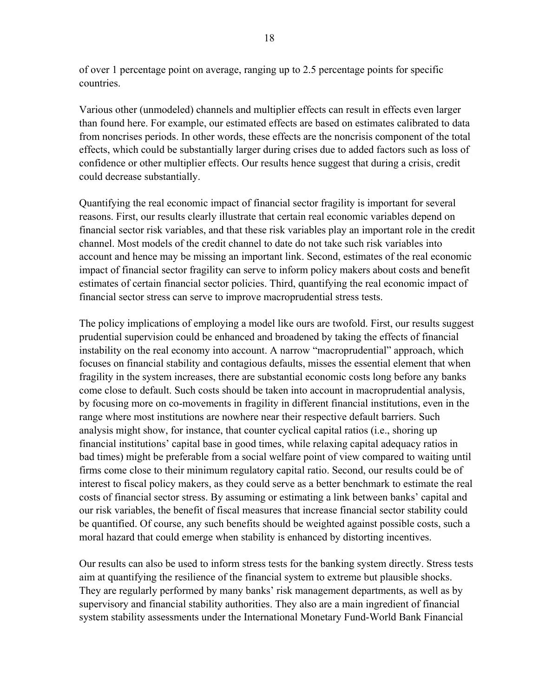of over 1 percentage point on average, ranging up to 2.5 percentage points for specific countries.

Various other (unmodeled) channels and multiplier effects can result in effects even larger than found here. For example, our estimated effects are based on estimates calibrated to data from noncrises periods. In other words, these effects are the noncrisis component of the total effects, which could be substantially larger during crises due to added factors such as loss of confidence or other multiplier effects. Our results hence suggest that during a crisis, credit could decrease substantially.

Quantifying the real economic impact of financial sector fragility is important for several reasons. First, our results clearly illustrate that certain real economic variables depend on financial sector risk variables, and that these risk variables play an important role in the credit channel. Most models of the credit channel to date do not take such risk variables into account and hence may be missing an important link. Second, estimates of the real economic impact of financial sector fragility can serve to inform policy makers about costs and benefit estimates of certain financial sector policies. Third, quantifying the real economic impact of financial sector stress can serve to improve macroprudential stress tests.

The policy implications of employing a model like ours are twofold. First, our results suggest prudential supervision could be enhanced and broadened by taking the effects of financial instability on the real economy into account. A narrow "macroprudential" approach, which focuses on financial stability and contagious defaults, misses the essential element that when fragility in the system increases, there are substantial economic costs long before any banks come close to default. Such costs should be taken into account in macroprudential analysis, by focusing more on co-movements in fragility in different financial institutions, even in the range where most institutions are nowhere near their respective default barriers. Such analysis might show, for instance, that counter cyclical capital ratios (i.e., shoring up financial institutions' capital base in good times, while relaxing capital adequacy ratios in bad times) might be preferable from a social welfare point of view compared to waiting until firms come close to their minimum regulatory capital ratio. Second, our results could be of interest to fiscal policy makers, as they could serve as a better benchmark to estimate the real costs of financial sector stress. By assuming or estimating a link between banks' capital and our risk variables, the benefit of fiscal measures that increase financial sector stability could be quantified. Of course, any such benefits should be weighted against possible costs, such a moral hazard that could emerge when stability is enhanced by distorting incentives.

Our results can also be used to inform stress tests for the banking system directly. Stress tests aim at quantifying the resilience of the financial system to extreme but plausible shocks. They are regularly performed by many banks' risk management departments, as well as by supervisory and financial stability authorities. They also are a main ingredient of financial system stability assessments under the International Monetary Fund-World Bank Financial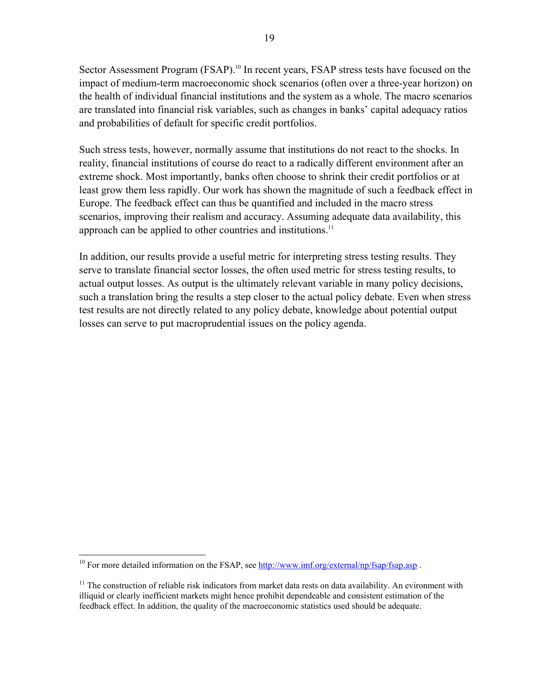Sector Assessment Program (FSAP).<sup>10</sup> In recent years, FSAP stress tests have focused on the impact of medium-term macroeconomic shock scenarios (often over a three-year horizon) on the health of individual financial institutions and the system as a whole. The macro scenarios are translated into financial risk variables, such as changes in banks' capital adequacy ratios and probabilities of default for specific credit portfolios.

Such stress tests, however, normally assume that institutions do not react to the shocks. In reality, financial institutions of course do react to a radically different environment after an extreme shock. Most importantly, banks often choose to shrink their credit portfolios or at least grow them less rapidly. Our work has shown the magnitude of such a feedback effect in Europe. The feedback effect can thus be quantified and included in the macro stress scenarios, improving their realism and accuracy. Assuming adequate data availability, this approach can be applied to other countries and institutions.<sup>11</sup>

In addition, our results provide a useful metric for interpreting stress testing results. They serve to translate financial sector losses, the often used metric for stress testing results, to actual output losses. As output is the ultimately relevant variable in many policy decisions, such a translation bring the results a step closer to the actual policy debate. Even when stress test results are not directly related to any policy debate, knowledge about potential output losses can serve to put macroprudential issues on the policy agenda.

1

<sup>&</sup>lt;sup>10</sup> For more detailed information on the FSAP, see http://www.imf.org/external/np/fsap/fsap.asp.

 $11$  The construction of reliable risk indicators from market data rests on data availability. An evironment with illiquid or clearly inefficient markets might hence prohibit dependeable and consistent estimation of the feedback effect. In addition, the quality of the macroeconomic statistics used should be adequate.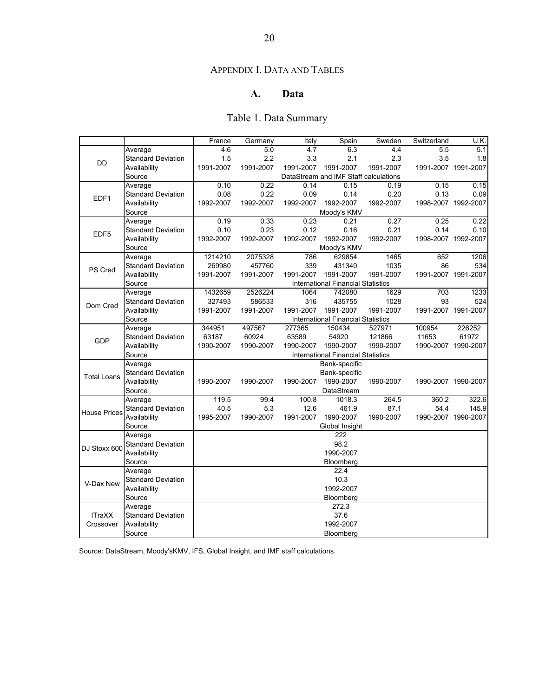## APPENDIX I. DATA AND TABLES

## **A. Data**

# Table 1. Data Summary

|                     |                           | France    | Germany   | Italy               | Spain                                     | Sweden    | Switzerland | U.K.                |  |  |  |  |  |  |
|---------------------|---------------------------|-----------|-----------|---------------------|-------------------------------------------|-----------|-------------|---------------------|--|--|--|--|--|--|
|                     | Average                   | 4.6       | 5.0       | 4.7                 | 6.3                                       | 4.4       | 5.5         | 5.1                 |  |  |  |  |  |  |
| DD                  | <b>Standard Deviation</b> | 1.5       | 2.2       | 3.3                 | 2.1                                       | 2.3       | 3.5         | 1.8                 |  |  |  |  |  |  |
|                     | Availability              | 1991-2007 | 1991-2007 | 1991-2007           | 1991-2007                                 | 1991-2007 |             | 1991-2007 1991-2007 |  |  |  |  |  |  |
|                     | Source                    |           |           |                     | DataStream and IMF Staff calculations     |           |             |                     |  |  |  |  |  |  |
|                     | Average                   | 0.10      | 0.22      | 0.14                | 0.15                                      | 0.19      | 0.15        | 0.15                |  |  |  |  |  |  |
| EDF1                | <b>Standard Deviation</b> | 0.08      | 0.22      | 0.09                | 0.14                                      | 0.20      | 0.13        | 0.09                |  |  |  |  |  |  |
|                     | Availability              | 1992-2007 | 1992-2007 | 1992-2007           | 1992-2007                                 | 1992-2007 |             | 1998-2007 1992-2007 |  |  |  |  |  |  |
|                     | Source                    |           |           |                     | Moody's KMV                               |           |             |                     |  |  |  |  |  |  |
|                     | Average                   | 0.19      | 0.33      | 0.23                | 0.21                                      | 0.27      | 0.25        | 0.22                |  |  |  |  |  |  |
| EDF <sub>5</sub>    | <b>Standard Deviation</b> | 0.10      | 0.23      | 0.12                | 0.16                                      | 0.21      | 0.14        | 0.10                |  |  |  |  |  |  |
|                     | Availability              | 1992-2007 | 1992-2007 | 1992-2007           | 1992-2007                                 | 1992-2007 |             | 1998-2007 1992-2007 |  |  |  |  |  |  |
|                     | Source                    |           |           |                     | Moody's KMV                               |           |             |                     |  |  |  |  |  |  |
|                     | Average                   | 1214210   | 2075328   | 786                 | 629854                                    | 1465      | 652         | 1206                |  |  |  |  |  |  |
| PS Cred             | <b>Standard Deviation</b> | 269980    | 457760    | 339                 | 431340                                    | 1035      | 86          | 534                 |  |  |  |  |  |  |
|                     | Availability              | 1991-2007 | 1991-2007 | 1991-2007           | 1991-2007                                 | 1991-2007 |             | 1991-2007 1991-2007 |  |  |  |  |  |  |
|                     | Source                    |           |           |                     | <b>International Financial Statistics</b> |           |             |                     |  |  |  |  |  |  |
|                     | Average                   | 1432659   | 2526224   | 1064                | 742080                                    | 1629      | 703         | 1233                |  |  |  |  |  |  |
| Dom Cred            | <b>Standard Deviation</b> | 327493    | 586533    | 316<br>1991-2007    | 435755<br>1991-2007                       | 1028      | 93          | 524                 |  |  |  |  |  |  |
|                     | Availability              | 1991-2007 |           | 1991-2007 1991-2007 |                                           |           |             |                     |  |  |  |  |  |  |
|                     | Source                    |           |           |                     |                                           |           |             |                     |  |  |  |  |  |  |
|                     | Average                   | 344951    | 497567    | 277365              | 150434                                    | 527971    | 100954      | 226252              |  |  |  |  |  |  |
| <b>GDP</b>          | <b>Standard Deviation</b> | 63187     | 60924     | 63589               | 54920                                     | 121866    | 11653       | 61972               |  |  |  |  |  |  |
|                     | Availability              | 1990-2007 | 1990-2007 | 1990-2007           | 1990-2007                                 | 1990-2007 |             | 1990-2007 1990-2007 |  |  |  |  |  |  |
|                     | Source                    |           |           |                     | <b>International Financial Statistics</b> |           |             |                     |  |  |  |  |  |  |
|                     | Average                   |           |           |                     | Bank-specific                             |           |             |                     |  |  |  |  |  |  |
| <b>Total Loans</b>  | <b>Standard Deviation</b> |           |           |                     | Bank-specific                             |           |             |                     |  |  |  |  |  |  |
|                     | Availability              | 1990-2007 | 1990-2007 | 1990-2007           | 1990-2007                                 | 1990-2007 |             | 1990-2007 1990-2007 |  |  |  |  |  |  |
|                     | Source                    |           |           |                     | DataStream                                |           |             |                     |  |  |  |  |  |  |
|                     | Average                   | 119.5     | 99.4      | 100.8               | 1018.3                                    | 264.5     | 360.2       | 322.6               |  |  |  |  |  |  |
| <b>House Prices</b> | <b>Standard Deviation</b> | 40.5      | 5.3       | 12.6                | 461.9                                     | 87.1      | 54.4        | 145.9               |  |  |  |  |  |  |
|                     | Availability              | 1995-2007 | 1990-2007 | 1991-2007           | 1990-2007                                 | 1990-2007 |             | 1990-2007 1990-2007 |  |  |  |  |  |  |
|                     | Source                    |           |           |                     | Global Insight                            |           |             |                     |  |  |  |  |  |  |
|                     | Average                   |           |           |                     | 222                                       |           |             |                     |  |  |  |  |  |  |
| DJ Stoxx 600        | <b>Standard Deviation</b> |           |           |                     | 98.2                                      |           |             |                     |  |  |  |  |  |  |
|                     | Availability              |           |           |                     | 1990-2007                                 |           |             |                     |  |  |  |  |  |  |
|                     | Source                    |           |           |                     | Bloomberg                                 |           |             |                     |  |  |  |  |  |  |
|                     | Average                   | 22.4      |           |                     |                                           |           |             |                     |  |  |  |  |  |  |
| V-Dax New           | <b>Standard Deviation</b> | 10.3      |           |                     |                                           |           |             |                     |  |  |  |  |  |  |
|                     | Availability              | 1992-2007 |           |                     |                                           |           |             |                     |  |  |  |  |  |  |
|                     | Source                    |           |           |                     | Bloomberg                                 |           |             |                     |  |  |  |  |  |  |
|                     | Average                   |           |           |                     | 272.3                                     |           |             |                     |  |  |  |  |  |  |
| <b>ITraXX</b>       | <b>Standard Deviation</b> | 37.6      |           |                     |                                           |           |             |                     |  |  |  |  |  |  |
| Crossover           | Availability              | 1992-2007 |           |                     |                                           |           |             |                     |  |  |  |  |  |  |
|                     | Source                    |           |           |                     | Bloomberg                                 |           |             |                     |  |  |  |  |  |  |

Source: DataStream, Moody'sKMV, IFS, Global Insight, and IMF staff calculations.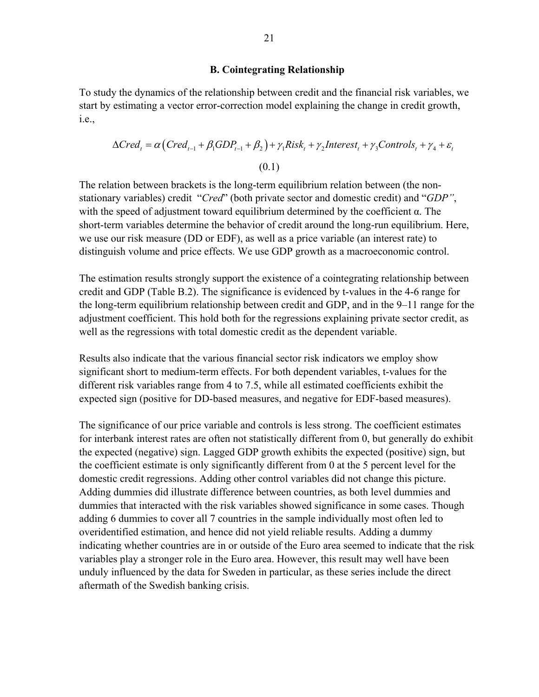#### **B. Cointegrating Relationship**

To study the dynamics of the relationship between credit and the financial risk variables, we start by estimating a vector error-correction model explaining the change in credit growth, i.e.,

$$
\Delta Cred_t = \alpha \left( Cred_{t-1} + \beta_1 GDP_{t-1} + \beta_2 \right) + \gamma_1 Risk_t + \gamma_2 Interest_t + \gamma_3 Controls_t + \gamma_4 + \varepsilon_t
$$
  
(0.1)

The relation between brackets is the long-term equilibrium relation between (the nonstationary variables) credit "*Cred*" (both private sector and domestic credit) and "*GDP"*, with the speed of adjustment toward equilibrium determined by the coefficient  $\alpha$ . The short-term variables determine the behavior of credit around the long-run equilibrium. Here, we use our risk measure (DD or EDF), as well as a price variable (an interest rate) to distinguish volume and price effects. We use GDP growth as a macroeconomic control.

The estimation results strongly support the existence of a cointegrating relationship between credit and GDP (Table B.2). The significance is evidenced by t-values in the 4-6 range for the long-term equilibrium relationship between credit and GDP, and in the 9–11 range for the adjustment coefficient. This hold both for the regressions explaining private sector credit, as well as the regressions with total domestic credit as the dependent variable.

Results also indicate that the various financial sector risk indicators we employ show significant short to medium-term effects. For both dependent variables, t-values for the different risk variables range from 4 to 7.5, while all estimated coefficients exhibit the expected sign (positive for DD-based measures, and negative for EDF-based measures).

The significance of our price variable and controls is less strong. The coefficient estimates for interbank interest rates are often not statistically different from 0, but generally do exhibit the expected (negative) sign. Lagged GDP growth exhibits the expected (positive) sign, but the coefficient estimate is only significantly different from 0 at the 5 percent level for the domestic credit regressions. Adding other control variables did not change this picture. Adding dummies did illustrate difference between countries, as both level dummies and dummies that interacted with the risk variables showed significance in some cases. Though adding 6 dummies to cover all 7 countries in the sample individually most often led to overidentified estimation, and hence did not yield reliable results. Adding a dummy indicating whether countries are in or outside of the Euro area seemed to indicate that the risk variables play a stronger role in the Euro area. However, this result may well have been unduly influenced by the data for Sweden in particular, as these series include the direct aftermath of the Swedish banking crisis.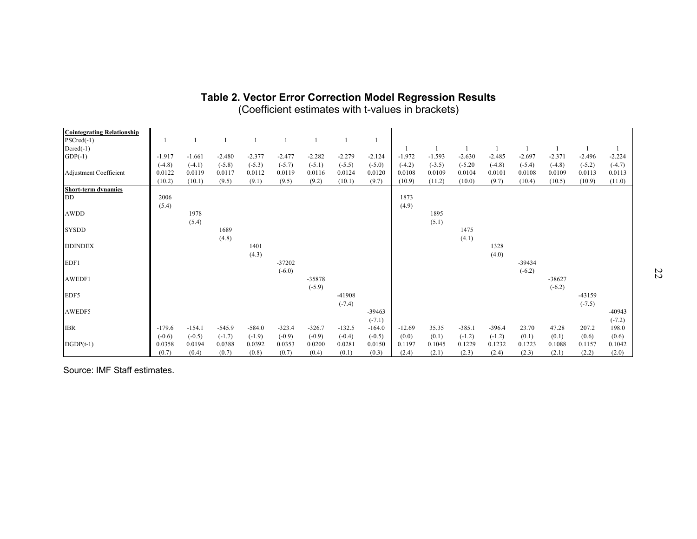| <b>Cointegrating Relationship</b> |          |          |          |          |          |          |          |          |          |          |           |          |          |          |          |          |
|-----------------------------------|----------|----------|----------|----------|----------|----------|----------|----------|----------|----------|-----------|----------|----------|----------|----------|----------|
| $PSCred(-1)$                      |          |          |          |          |          |          |          |          |          |          |           |          |          |          |          |          |
| $Dcred(-1)$                       |          |          |          |          |          |          |          |          |          |          |           |          |          |          |          |          |
| $GDP(-1)$                         | $-1.917$ | $-1.661$ | $-2.480$ | $-2.377$ | $-2.477$ | $-2.282$ | $-2.279$ | $-2.124$ | $-1.972$ | $-1.593$ | $-2.630$  | $-2.485$ | $-2.697$ | $-2.371$ | $-2.496$ | $-2.224$ |
|                                   | $(-4.8)$ | $(-4.1)$ | $(-5.8)$ | $(-5.3)$ | $(-5.7)$ | $(-5.1)$ | $(-5.5)$ | $(-5.0)$ | $(-4.2)$ | $(-3.5)$ | $(-5.20)$ | $(-4.8)$ | $(-5.4)$ | $(-4.8)$ | $(-5.2)$ | $(-4.7)$ |
| Adjustment Coefficient            | 0.0122   | 0.0119   | 0.0117   | 0.0112   | 0.0119   | 0.0116   | 0.0124   | 0.0120   | 0.0108   | 0.0109   | 0.0104    | 0.0101   | 0.0108   | 0.0109   | 0.0113   | 0.0113   |
|                                   | (10.2)   | (10.1)   | (9.5)    | (9.1)    | (9.5)    | (9.2)    | (10.1)   | (9.7)    | (10.9)   | (11.2)   | (10.0)    | (9.7)    | (10.4)   | (10.5)   | (10.9)   | (11.0)   |
| Short-term dynamics               |          |          |          |          |          |          |          |          |          |          |           |          |          |          |          |          |
| DD                                | 2006     |          |          |          |          |          |          |          | 1873     |          |           |          |          |          |          |          |
|                                   | (5.4)    |          |          |          |          |          |          |          | (4.9)    |          |           |          |          |          |          |          |
| <b>AWDD</b>                       |          | 1978     |          |          |          |          |          |          |          | 1895     |           |          |          |          |          |          |
|                                   |          | (5.4)    |          |          |          |          |          |          |          | (5.1)    |           |          |          |          |          |          |
| <b>SYSDD</b>                      |          |          | 1689     |          |          |          |          |          |          |          | 1475      |          |          |          |          |          |
|                                   |          |          | (4.8)    |          |          |          |          |          |          |          | (4.1)     |          |          |          |          |          |
| <b>DDINDEX</b>                    |          |          |          | 1401     |          |          |          |          |          |          |           | 1328     |          |          |          |          |
|                                   |          |          |          | (4.3)    |          |          |          |          |          |          |           | (4.0)    |          |          |          |          |
| EDF1                              |          |          |          |          | $-37202$ |          |          |          |          |          |           |          | -39434   |          |          |          |
|                                   |          |          |          |          | $(-6.0)$ |          |          |          |          |          |           |          | $(-6.2)$ |          |          |          |
| AWEDF1                            |          |          |          |          |          | -35878   |          |          |          |          |           |          |          | $-38627$ |          |          |
|                                   |          |          |          |          |          | $(-5.9)$ |          |          |          |          |           |          |          | $(-6.2)$ |          |          |
| EDF5                              |          |          |          |          |          |          | -41908   |          |          |          |           |          |          |          | $-43159$ |          |
|                                   |          |          |          |          |          |          | $(-7.4)$ |          |          |          |           |          |          |          | $(-7.5)$ |          |
| AWEDF5                            |          |          |          |          |          |          |          | $-39463$ |          |          |           |          |          |          |          | $-40943$ |
|                                   |          |          |          |          |          |          |          | $(-7.1)$ |          |          |           |          |          |          |          | $(-7.2)$ |
| <b>IBR</b>                        | $-179.6$ | $-154.1$ | $-545.9$ | $-584.0$ | $-323.4$ | $-326.7$ | $-132.5$ | $-164.0$ | $-12.69$ | 35.35    | $-385.1$  | $-396.4$ | 23.70    | 47.28    | 207.2    | 198.0    |
|                                   | $(-0.6)$ | $(-0.5)$ | $(-1.7)$ | $(-1.9)$ | $(-0.9)$ | $(-0.9)$ | $(-0.4)$ | $(-0.5)$ | (0.0)    | (0.1)    | $(-1.2)$  | $(-1.2)$ | (0.1)    | (0.1)    | (0.6)    | (0.6)    |
| $DGDP(t-1)$                       | 0.0358   | 0.0194   | 0.0388   | 0.0392   | 0.0353   | 0.0200   | 0.0281   | 0.0150   | 0.1197   | 0.1045   | 0.1229    | 0.1232   | 0.1223   | 0.1088   | 0.1157   | 0.1042   |
|                                   | (0.7)    | (0.4)    | (0.7)    | (0.8)    | (0.7)    | (0.4)    | (0.1)    | (0.3)    | (2.4)    | (2.1)    | (2.3)     | (2.4)    | (2.3)    | (2.1)    | (2.2)    | (2.0)    |

## **Table 2. Vector Error Correction Model Regression Results**  (Coefficient estimates with t-values in brackets)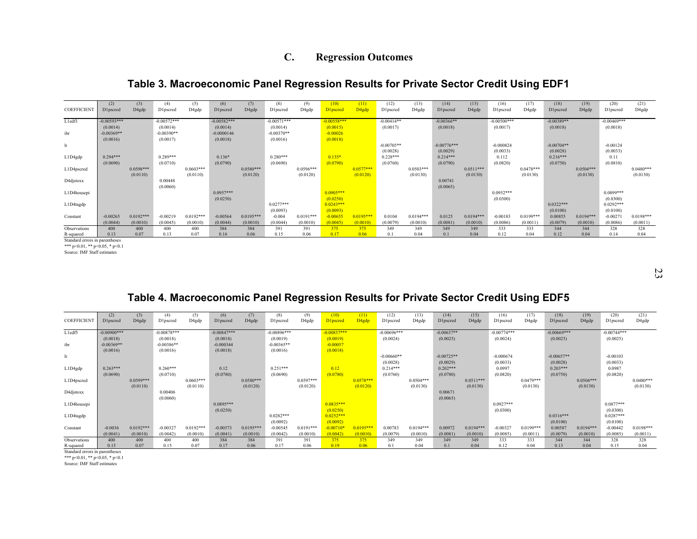## **C. Regression Outcomes**

## **Table 3. Macroeconomic Panel Regression Results for Private Sector Credit Using EDF1**

| <b>COEFFICIENT</b>                 | (2)<br>D1pscred | (3)<br>D4gdp | (4)<br>D1pscred | (5)<br>D4gdp | (6)<br>D1pscred         | (7)<br>D4gdp | (8)<br>D1pscred | (9)<br>D4gdp | (10)<br>D1pscred        | (11)<br>D <sub>4gdp</sub> | (12)<br>D1pscred | (13)<br>D4gdp | (14)<br><b>D1pscred</b> | (15)<br>D4gdp | (16)<br>D1pscred        | (17)<br>D4gdp | (18)<br>D1pscred | (19)<br>D4gdp | (20)<br>D1pscred        | (21)<br>D4gdp |
|------------------------------------|-----------------|--------------|-----------------|--------------|-------------------------|--------------|-----------------|--------------|-------------------------|---------------------------|------------------|---------------|-------------------------|---------------|-------------------------|---------------|------------------|---------------|-------------------------|---------------|
| L1edf1                             | $-0.00593***$   |              | $-0.00572***$   |              | $-0.00582***$           |              | $-0.00571***$   |              | $-0.00558***$           |                           | $-0.00414**$     |               | $-0.00366**$            |               | $-0.00500***$           |               | $-0.00389**$     |               | $-0.00469***$           |               |
|                                    | (0.0014)        |              | (0.0014)        |              | (0.0014)                |              | (0.0014)        |              | (0.0015)                |                           | (0.0017)         |               | (0.0018)                |               | (0.0017)                |               | (0.0018)         |               | (0.0018)                |               |
| ibr                                | $-0.00369**$    |              | $-0.00390**$    |              | $-0.0000146$            |              | $-0.00370**$    |              | $-0.00026$              |                           |                  |               |                         |               |                         |               |                  |               |                         |               |
| lr                                 | (0.0016)        |              | (0.0017)        |              | (0.0018)                |              | (0.0016)        |              | (0.0018)                |                           | $-0.00705**$     |               | $-0.00776***$           |               | $-0.000824$             |               | $-0.00704**$     |               | $-0.00124$              |               |
|                                    |                 |              |                 |              |                         |              |                 |              |                         |                           | (0.0028)         |               | (0.0029)                |               | (0.0033)                |               | (0.0028)         |               | (0.0033)                |               |
| L1D4gdp                            | $0.294***$      |              | $0.289***$      |              | $0.136*$                |              | $0.280***$      |              | $0.135*$                |                           | $0.228***$       |               | $0.214***$              |               | 0.112                   |               | $0.216***$       |               | 0.11                    |               |
|                                    | (0.0690)        |              | (0.0710)        |              | (0.0790)                |              | (0.0690)        |              | (0.0790)                |                           | (0.0760)         |               | (0.0790)                |               | (0.0820)                |               | (0.0750)         |               | (0.0810)                |               |
| L1D4pscred                         |                 | $0.0598***$  |                 | $0.0603***$  |                         | $0.0580***$  |                 | $0.0596***$  |                         | $0.0577***$               |                  | $0.0503***$   |                         | $0.0511***$   |                         | $0.0478***$   |                  | $0.0504***$   |                         | $0.0480***$   |
|                                    |                 | (0.0110)     |                 | (0.0110)     |                         | (0.0120)     |                 | (0.0120)     |                         | (0.0120)                  |                  | (0.0130)      |                         | (0.0130)      |                         | (0.0130)      |                  | (0.0130)      |                         | (0.0130)      |
| D4djstoxx                          |                 |              | 0.00448         |              |                         |              |                 |              |                         |                           |                  |               | 0.00741                 |               |                         |               |                  |               |                         |               |
|                                    |                 |              | (0.0060)        |              |                         |              |                 |              |                         |                           |                  |               | (0.0065)                |               |                         |               |                  |               |                         |               |
| L1D4housepi                        |                 |              |                 |              | $0.0957***$<br>(0.0250) |              |                 |              | $0.0905***$<br>(0.0250) |                           |                  |               |                         |               | $0.0952***$<br>(0.0300) |               |                  |               | $0.0899***$<br>(0.0300) |               |
| L1D4tagdp                          |                 |              |                 |              |                         |              | $0.0277***$     |              | $0.0243***$             |                           |                  |               |                         |               |                         |               | $0.0322***$      |               | $0.0292***$             |               |
|                                    |                 |              |                 |              |                         |              | (0.0093)        |              | (0.0093)                |                           |                  |               |                         |               |                         |               | (0.0100)         |               | (0.0100)                |               |
| Constant                           | $-0.00265$      | $0.0192***$  | $-0.00219$      | $0.0192***$  | $-0.00564$              | $0.0195***$  | $-0.004$        | $0.0191***$  | $-0.00655$              | $0.0195***$               | 0.0104           | $0.0194***$   | 0.0125                  | $0.0194***$   | $-0.00183$              | $0.0199***$   | 0.00855          | $0.0194***$   | $-0.00271$              | $0.0198***$   |
|                                    | (0.0044)        | (0.0010)     | (0.0045)        | (0.0010)     | (0.0044)                | (0.0010)     | (0.0044)        | (0.0010)     | (0.0045)                | (0.0010)                  | (0.0079)         | (0.0010)      | (0.0081)                | (0.0010)      | (0.0086)                | (0.0011)      | (0.0079)         | (0.0010)      | (0.0086)                | (0.0011)      |
| Observations                       | 400             | 400          | 400             | 400          | 384                     | 384          | 391             | 391          | 375                     | 375                       | 349              | 349           | 349                     | 349           | 333                     | 333           | 344              | 344           | 328                     | 328           |
| R-squared<br>$0.111$ $1.11$ $1.11$ | 0.13            | 0.07         | 0.13            | 0.07         | 0.16                    | 0.06         | 0.15            | 0.06         | 0.17                    | 0.06                      | 0.1              | 0.04          | 0.1                     | 0.04          | 0.12                    | 0.04          | 0.12             | 0.04          | 0.14                    | 0.04          |

Standard errors in parentheses \*\*\* p<0.01, \*\* p<0.05, \* p<0.1

Source: IMF Staff estimates

23

## **Table 4. Macroeconomic Panel Regression Results for Private Sector Credit Using EDF5**

| <b>COEFFICIENT</b>             | (2)<br>D1pscred | (3)<br>D4gdp | (4)<br>D1pscred | (5)<br>D4gdp | (6)<br>D1pscred | (7)<br>D4gdp | (8)<br>D1pscred | (9)<br>D4gdp | (10)<br>D1pscred | (11)<br>D <sub>4gdp</sub> | (12)<br><b>D1pscred</b> | (13)<br>D4gdp | (14)<br>D1pscred | (15)<br>D4gdp | (16)<br>D1pscred | (17)<br>D4gdp | (18)<br>D1pscred | (19)<br>D4gdp | (20)<br>D1pscred | (21)<br>D4gdp   |
|--------------------------------|-----------------|--------------|-----------------|--------------|-----------------|--------------|-----------------|--------------|------------------|---------------------------|-------------------------|---------------|------------------|---------------|------------------|---------------|------------------|---------------|------------------|-----------------|
|                                |                 |              |                 |              |                 |              |                 |              |                  |                           |                         |               |                  |               |                  |               |                  |               |                  |                 |
| L1edf5                         | $-0.00900$ ***  |              | $-0.00878***$   |              | $-0.00847***$   |              | $-0.00896***$   |              | $-0.00837***$    |                           | $-0.00696***$           |               | $-0.00637**$     |               | $-0.00774***$    |               | $-0.00669***$    |               | $-0.00744***$    |                 |
|                                | (0.0018)        |              | (0.0018)        |              | (0.0018)        |              | (0.0019)        |              | (0.0019)         |                           | (0.0024)                |               | (0.0025)         |               | (0.0024)         |               | (0.0025)         |               | (0.0025)         |                 |
| ibr                            | $-0.00369**$    |              | $-0.00386**$    |              | $-0.000344$     |              | $-0.00365**$    |              | $-0.00057$       |                           |                         |               |                  |               |                  |               |                  |               |                  |                 |
|                                | (0.0016)        |              | (0.0016)        |              | (0.0018)        |              | (0.0016)        |              | (0.0018)         |                           |                         |               |                  |               |                  |               |                  |               |                  |                 |
| lr                             |                 |              |                 |              |                 |              |                 |              |                  |                           | $-0.00660**$            |               | $-0.00725**$     |               | $-0.000674$      |               | $-0.00657**$     |               | $-0.00103$       |                 |
|                                |                 |              |                 |              |                 |              |                 |              |                  |                           | (0.0028)                |               | (0.0029)         |               | (0.0033)         |               | (0.0028)         |               | (0.0033)         |                 |
| L1D4gdp                        | $0.263***$      |              | $0.260***$      |              | 0.12            |              | $0.251***$      |              | 0.12             |                           | $0.214***$              |               | $0.202***$       |               | 0.0997           |               | $0.203***$       |               | 0.0987           |                 |
|                                | (0.0690)        |              | (0.0710)        |              | (0.0780)        |              | (0.0690)        |              | (0.0780)         |                           | (0.0760)                |               | (0.0780)         |               | (0.0820)         |               | (0.0750)         |               | (0.0820)         |                 |
| L1D4pscred                     |                 | $0.0599***$  |                 | $0.0603***$  |                 | $0.0580***$  |                 | $0.0597***$  |                  | $0.0578***$               |                         | $0.0504***$   |                  | $0.0511***$   |                  | $0.0479***$   |                  | $0.0504***$   |                  | $0.0480***$     |
|                                |                 | (0.0110)     |                 | (0.0110)     |                 | (0.0120)     |                 | (0.0120)     |                  | (0.0120)                  |                         | (0.0130)      |                  | (0.0130)      |                  | (0.0130)      |                  | (0.0130)      |                  | (0.0130)        |
| D4djstoxx                      |                 |              | 0.00406         |              |                 |              |                 |              |                  |                           |                         |               | 0.00671          |               |                  |               |                  |               |                  |                 |
|                                |                 |              | (0.0060)        |              |                 |              |                 |              |                  |                           |                         |               | (0.0065)         |               |                  |               |                  |               |                  |                 |
| L1D4housepi                    |                 |              |                 |              | $0.0895***$     |              |                 |              | $0.0835***$      |                           |                         |               |                  |               | $0.0927***$      |               |                  |               | $0.0877***$      |                 |
|                                |                 |              |                 |              | (0.0250)        |              |                 |              | (0.0250)         |                           |                         |               |                  |               | (0.0300)         |               |                  |               | (0.0300)         |                 |
| L1D4tagdp                      |                 |              |                 |              |                 |              | $0.0282***$     |              | $0.0252***$      |                           |                         |               |                  |               |                  |               | $0.0316***$      |               | $0.0287***$      |                 |
|                                |                 | $0.0192***$  |                 |              |                 | $0.0195***$  | (0.0092)        | $0.0191***$  | (0.0092)         |                           |                         |               |                  | $0.0194***$   | $-0.00327$       | $0.0199***$   | (0.0100)         |               | (0.0100)         | $0.0198***$     |
| Constant                       | $-0.0036$       |              | $-0.00327$      | $0.0192***$  | $-0.00573$      |              | $-0.00545$      |              | $-0.00710*$      | $0.0195***$               | 0.00783                 | $0.0194***$   | 0.00972          |               |                  |               | 0.00587          | $0.0194***$   | $-0.00442$       |                 |
|                                | (0.0041)        | (0.0010)     | (0.0042)<br>400 | (0.0010)     | (0.0041)        | (0.0010)     | (0.0042)        | (0.0010)     | (0.0042)         | (0.0010)                  | (0.0079)                | (0.0010)      | (0.0081)         | (0.0010)      | (0.0085)         | (0.0011)      | (0.0079)         | (0.0010)      | (0.0085)         | (0.0011)<br>328 |
| Observations                   | 400<br>0.15     | 400<br>0.07  | 0.15            | 400<br>0.07  | 384<br>0.17     | 384<br>0.06  | 391<br>0.17     | 391<br>0.06  | 375<br>0.19      | 375<br>0.06               | 349<br>0 <sub>1</sub>   | 349<br>0.04   | 349<br>0.1       | 349<br>0.04   | 333<br>0.12      | 333<br>0.04   | 344<br>0.13      | 344<br>0.04   | 328<br>0.15      | 0.04            |
| R-squared                      |                 |              |                 |              |                 |              |                 |              |                  |                           |                         |               |                  |               |                  |               |                  |               |                  |                 |
| Standard errors in parentheses |                 |              |                 |              |                 |              |                 |              |                  |                           |                         |               |                  |               |                  |               |                  |               |                  |                 |

\*\*\* p<0.01, \*\* p<0.05, \* p<0.1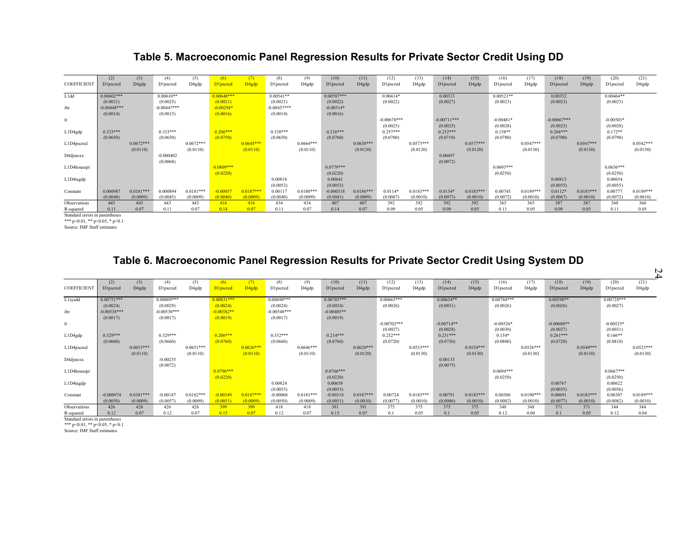## **Table 5. Macroeconomic Panel Regression Results for Private Sector Credit Using DD**

| <b>COEFFICIENT</b>                   | (2)<br><b>D</b> 1pscred | (3)<br>D4gdp | (4)<br>D1pscred | (5)<br>D4gdp | (6)<br>D1pscred | D <sub>4gdp</sub> | (8)<br>D1pscred | (9)<br>D4gdp | (10)<br>D1pscred | (11)<br>D4gdp | (12)<br>D1pscred | (13)<br>D4gdp | (14)<br>D1pscred | (15)<br>D4gdp | (16)<br>D1pscred | (17)<br>D4gdp | (18)<br>D1pscred | (19)<br>D4gdp | (20)<br>D1pscred | (21)<br>D4gdp |
|--------------------------------------|-------------------------|--------------|-----------------|--------------|-----------------|-------------------|-----------------|--------------|------------------|---------------|------------------|---------------|------------------|---------------|------------------|---------------|------------------|---------------|------------------|---------------|
| L1dd                                 | $0.00602***$            |              | $0.00610**$     |              | $0.00648***$    |                   | $0.00541**$     |              | $0.00597***$     |               | $0.00414*$       |               | 0.00313          |               | $0.00521**$      |               | 0.00352          |               | $0.00464**$      |               |
|                                      | (0.0021)                |              | (0.0025)        |              | (0.0021)        |                   | (0.0021)        |              | (0.0022)         |               | (0.0022)         |               | (0.0027)         |               | (0.0023)         |               | (0.0023)         |               | (0.0023)         |               |
| ibr                                  | $-0.00448***$           |              | $-0.00447***$   |              | $-0.00294*$     |                   | $-0.00457***$   |              | $-0.00314*$      |               |                  |               |                  |               |                  |               |                  |               |                  |               |
| lr.                                  | (0.0014)                |              | (0.0015)        |              | (0.0016)        |                   | (0.0014)        |              | (0.0016)         |               | $-0.00670***$    |               | $-0.00711***$    |               | $-0.00481*$      |               | $-0.00667***$    |               | $-0.00503*$      |               |
|                                      |                         |              |                 |              |                 |                   |                 |              |                  |               | (0.0025)         |               | (0.0025)         |               | (0.0028)         |               | (0.0025)         |               | (0.0028)         |               |
| L1D4gdp                              | $0.333***$              |              | $0.333***$      |              | $0.206***$      |                   | $0.338***$      |              | $0.216***$       |               | $0.257***$       |               | $0.252***$       |               | $0.158**$        |               | $0.266***$       |               | $0.172**$        |               |
|                                      | (0.0650)                |              | (0.0650)        |              | (0.0750)        |                   | (0.0650)        |              | (0.0760)         |               | (0.0700)         |               | (0.0710)         |               | (0.0780)         |               | (0.0700)         |               | (0.0790)         |               |
| L1D4pscred                           |                         | $0.0672***$  |                 | $0.0672***$  |                 | $0.0645***$       |                 | $0.0664***$  |                  | $0.0638***$   |                  | $0.0573***$   |                  | $0.0577***$   |                  | $0.0547***$   |                  | $0.0567***$   |                  | $0.0542***$   |
|                                      |                         | (0.0110)     |                 | (0.0110)     |                 | (0.0110)          |                 | (0.0110)     |                  | (0.0120)      |                  | (0.0120)      |                  | (0.0120)      |                  | (0.0130)      |                  | (0.0130)      |                  | (0.0130)      |
| D4djstoxx                            |                         |              | $-0.000402$     |              |                 |                   |                 |              |                  |               |                  |               | 0.00497          |               |                  |               |                  |               |                  |               |
| L1D4housepi                          |                         |              | (0.0068)        |              | $0.0809***$     |                   |                 |              | $0.0779***$      |               |                  |               | (0.0072)         |               | $0.0693***$      |               |                  |               | $0.0656***$      |               |
|                                      |                         |              |                 |              | (0.0220)        |                   |                 |              | (0.0220)         |               |                  |               |                  |               | (0.0250)         |               |                  |               | (0.0250)         |               |
| L1D4tagdp                            |                         |              |                 |              |                 |                   | 0.00818         |              | 0.00641          |               |                  |               |                  |               |                  |               | 0.00813          |               | 0.00654          |               |
|                                      |                         |              |                 |              |                 |                   | (0.0052)        |              | (0.0053)         |               |                  |               |                  |               |                  |               | (0.0055)         |               | (0.0055)         |               |
| Constant                             | 0.000987                | $0.0181***$  | 0.000894        | $0.0181***$  | $-0.00057$      | $0.0187***$       | 0.00117         | $0.0180***$  | $-0.000318$      | $0.0186***$   | $0.0114*$        | $0.0183***$   | $0.0134*$        | $0.0183***$   | 0.00745          | $0.0189***$   | $0.0112*$        | $0.0183***$   | 0.00777          | $0.0189***$   |
|                                      | (0.0040)                | (0.0009)     | (0.0045)        | (0.0009)     | (0.0040)        | (0.0009)          | (0.0040)        | (0.0009)     | (0.0041)         | (0.0009)      | (0.0067)         | (0.0010)      | (0.0073)         | (0.0010)      | (0.0072)         | (0.0010)      | (0.0067)         | (0.0010)      | (0.0072)         | (0.0010)      |
| Observations                         | 443                     | 443          | 443             | 443          | 416             | 416               | 434             | 434          | 407              | 407           | 392              | 392           | 392              | 392           | 365              | 365           | 387              | 387           | 360              | 360           |
| R-squared<br>$0.111$ $1.111$ $1.111$ | 0.11                    | 0.07         | 0.11            | 0.07         | 0.14            | 0.07              | 0.11            | 0.07         | 0.14             | 0.07          | 0.09             | 0.05          | 0.09             | 0.05          | 0.11             | 0.05          | 0.09             | 0.05          | 0.11             | 0.05          |

dard errors in pare \*\*\*  $p < 0.01$ , \*\*  $p < 0.05$ , \*  $p < 0.1$ 

Source: IMF Staff estimates

## **Table 6. Macroeconomic Panel Regression Results for Private Sector Credit Using System DD**

|                           |                                       |                         |                                       |                         |                                      |                          |                                       |                         |                                      |                         |                           |                         |                          |                         |                         |                         |                          |                         |                         | N                       |
|---------------------------|---------------------------------------|-------------------------|---------------------------------------|-------------------------|--------------------------------------|--------------------------|---------------------------------------|-------------------------|--------------------------------------|-------------------------|---------------------------|-------------------------|--------------------------|-------------------------|-------------------------|-------------------------|--------------------------|-------------------------|-------------------------|-------------------------|
| <b>COEFFICIENT</b>        | (2)<br><b>D1pscred</b>                | (3)<br>D4gdp            | (4)<br>D1pscred                       | (5)<br>D4gdp            | (6)<br>D1pscred                      | (7)<br>D <sub>4gdp</sub> | (8)<br>D1pscred                       | (9)<br>D4gdp            | (10)<br>D1pscred                     | (11)<br>D4gdp           | (12)<br>D1pscred          | (13)<br>D4gdp           | (14)<br>D1pscred         | (15)<br>D4gdp           | (16)<br>D1pscred        | (17)<br>D4gdp           | (18)<br>D1pscred         | (19)<br>D4gdp           | (20)<br>D1pscred        | (21)<br>D4gdp           |
| L1sysdd                   | $0.00751***$                          |                         | $0.00809***$                          |                         | $0.00831***$                         |                          | $0.00690***$                          |                         | $0.00785***$                         |                         | $0.00665***$              |                         | $0.00634**$              |                         | $0.00784***$            |                         | $0.00598**$              |                         | $0.00728***$            |                         |
| ibr                       | (0.0024)<br>$-0.00538***$<br>(0.0017) |                         | (0.0029)<br>$-0.00530***$<br>(0.0017) |                         | (0.0024)<br>$-0.00382**$<br>(0.0019) |                          | (0.0024)<br>$-0.00548***$<br>(0.0017) |                         | (0.0024)<br>$-0.00405**$<br>(0.0019) |                         | (0.0026)                  |                         | (0.0031)                 |                         | (0.0026)                |                         | (0.0026)                 |                         | (0.0027)                |                         |
| lr.                       |                                       |                         |                                       |                         |                                      |                          |                                       |                         |                                      |                         | $-0.00702***$<br>(0.0027) |                         | $-0.00714**$<br>(0.0028) |                         | $-0.00526*$<br>(0.0030) |                         | $-0.00680**$<br>(0.0027) |                         | $-0.00525*$<br>(0.0031) |                         |
| L1D4gdp                   | $0.329***$<br>(0.0660)                |                         | $0.329***$<br>(0.0660)                |                         | $0.206***$<br>(0.0760)               |                          | $0.332***$<br>(0.0660)                |                         | $0.214***$<br>(0.0760)               |                         | $0.252***$<br>(0.0720)    |                         | $0.251***$<br>(0.0730)   |                         | $0.154*$<br>(0.0800)    |                         | $0.261***$<br>(0.0720)   |                         | $0.166**$<br>(0.0810)   |                         |
| L1D4pscred                |                                       | $0.0653***$<br>(0.0110) |                                       | $0.0651***$<br>(0.0110) |                                      | $0.0626***$<br>(0.0110)  |                                       | $0.0646***$<br>(0.0110) |                                      | $0.0620***$<br>(0.0120) |                           | $0.0553***$<br>(0.0130) |                          | $0.0554***$<br>(0.0130) |                         | $0.0526***$<br>(0.0130) |                          | $0.0549***$<br>(0.0130) |                         | $0.0523***$<br>(0.0130) |
| D4djstoxx                 |                                       |                         | $-0.00255$<br>(0.0072)                |                         |                                      |                          |                                       |                         |                                      |                         |                           |                         | 0.00133<br>(0.0075)      |                         |                         |                         |                          |                         |                         |                         |
| L1D4housepi               |                                       |                         |                                       |                         | $0.0796***$<br>(0.0220)              |                          |                                       |                         | $0.0766***$<br>(0.0220)              |                         |                           |                         |                          |                         | $0.0694***$<br>(0.0250) |                         |                          |                         | $0.0667***$<br>(0.0250) |                         |
| L1D4tagdp                 |                                       |                         |                                       |                         |                                      |                          | 0.00824<br>(0.0053)                   |                         | 0.00658<br>(0.0053)                  |                         |                           |                         |                          |                         |                         |                         | 0.00767<br>(0.0055)      |                         | 0.00622<br>(0.0056)     |                         |
| Constant                  | $-0.000974$                           | $0.0181***$             | $-0.00187$                            | $0.0182***$             | $-0.00349$                           | $0.0187***$              | $-0.00068$                            | $0.0181***$             | $-0.00318$                           | $0.0187***$             | 0.00724                   | $0.0183***$             | 0.00791                  | $0.0183***$             | 0.00306                 | $0.0190***$             | 0.00691                  | $0.0183***$             | 0.00307                 | $0.0189***$             |
|                           | (0.0050)                              | (0.0009)                | (0.0057)                              | (0.0009)                | (0.0051)                             | (0.0009)                 | (0.0050)                              | (0.0009)                | (0.0051)                             | (0.0010)                | (0.0077)                  | (0.0010)                | (0.0086)                 | (0.0010)                | (0.0082)                | (0.0010)                | (0.0077)                 | (0.0010)                | (0.0082)                | (0.0010)                |
| Observations<br>R-squared | 426<br>0.12                           | 426<br>0.07             | 426<br>0.12                           | 426<br>0.07             | 399<br>0.15                          | 399<br>0.07              | 418<br>0.12                           | 418<br>0.07             | 391<br>0.15                          | 391<br>0.07             | 375<br>0 <sub>1</sub>     | 375<br>0.05             | 375<br>0.1               | 375<br>0.05             | 348<br>0.12             | 348<br>0.04             | 371<br>0.1               | 371<br>0.05             | 344<br>0.12             | 344<br>0.04             |

Standard errors in parentheses \*\*\* p<0.01, \*\* p<0.05, \* p<0.1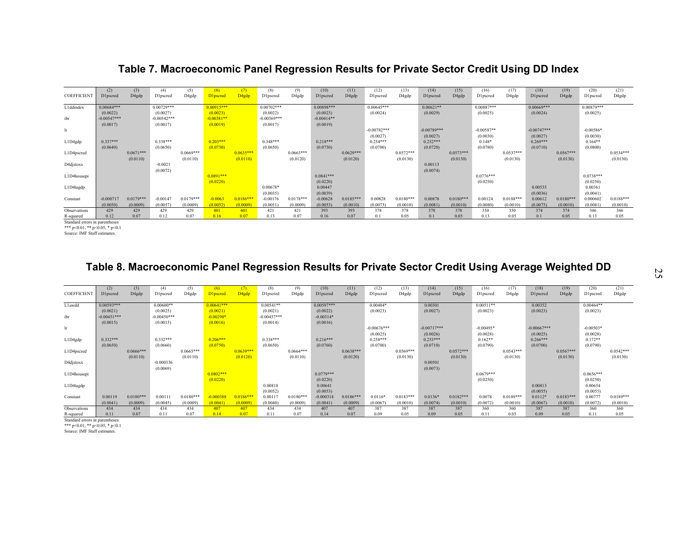## **Table 7. Macroeconomic Panel Regression Results for Private Sector Credit Using DD Index**

| <b>COEFFICIENT</b> | (2)<br>D1pscred           | (3)<br>D4gdp            | (4)<br>D1pscred           | (5)<br>D4gdp            | (6)<br><b>D</b> lpscred  | D <sub>4gdp</sub>       | (8)<br>D1pscred           | (9)<br>D4gdp            | (10)<br>D1pscred         | (11)<br>D4gdp           | (12)<br>D1pscred | (13)<br>D4gdp           | (14)<br>D1pscred | (15)<br>D4gdp           | (16)<br>D1pscred | (17)<br>D4gdp           | (18)<br>D1pscred    | (19)<br>D4gdp           | (20)<br>D1pscred     | (21)<br>D4gdp           |
|--------------------|---------------------------|-------------------------|---------------------------|-------------------------|--------------------------|-------------------------|---------------------------|-------------------------|--------------------------|-------------------------|------------------|-------------------------|------------------|-------------------------|------------------|-------------------------|---------------------|-------------------------|----------------------|-------------------------|
| L1ddindex          | $0.00684***$              |                         | $0.00729***$              |                         | $0.00915***$             |                         | $0.00702***$              |                         | $0.00898***$             |                         | $0.00645***$     |                         | $0.00621**$      |                         | $0.00887***$     |                         | $0.00669***$        |                         | $0.00879***$         |                         |
| ibr                | (0.0022)<br>$-0.00547***$ |                         | (0.0027)<br>$-0.00542***$ |                         | (0.0023)<br>$-0.00381**$ |                         | (0.0022)<br>$-0.00569***$ |                         | (0.0023)<br>$-0.00414**$ |                         | (0.0024)         |                         | (0.0029)         |                         | (0.0025)         |                         | (0.0024)            |                         | (0.0025)             |                         |
|                    | (0.0017)                  |                         | (0.0017)                  |                         | (0.0019)                 |                         | (0.0017)                  |                         | (0.0019)                 |                         |                  |                         |                  |                         |                  |                         |                     |                         |                      |                         |
| lr.                |                           |                         |                           |                         |                          |                         |                           |                         |                          |                         | $-0.00782***$    |                         | $-0.00789***$    |                         | $-0.00587**$     |                         | $-0.00747***$       |                         | $-0.00586*$          |                         |
|                    |                           |                         |                           |                         |                          |                         |                           |                         |                          |                         | (0.0027)         |                         | (0.0027)         |                         | (0.0030)         |                         | (0.0027)            |                         | (0.0030)             |                         |
| L1D4gdp            | $0.337***$                |                         | $0.338***$                |                         | $0.203***$               |                         | $0.348***$                |                         | $0.218***$               |                         | $0.254***$       |                         | $0.252***$       |                         | $0.148*$         |                         | $0.269***$          |                         | $0.164**$            |                         |
|                    | (0.0640)                  |                         | (0.0650)                  |                         | (0.0730)                 |                         | (0.0650)                  |                         | (0.0750)                 |                         | (0.0700)         |                         | (0.0720)         |                         | (0.0780)         |                         | (0.0710)            |                         | (0.0800)             |                         |
| L1D4pscred         |                           | $0.0671***$<br>(0.0110) |                           | $0.0669***$<br>(0.0110) |                          | $0.0635***$<br>(0.0110) |                           | $0.0663***$<br>(0.0120) |                          | $0.0629***$<br>(0.0120) |                  | $0.0572***$<br>(0.0130) |                  | $0.0573***$<br>(0.0130) |                  | $0.0537***$<br>(0.0130) |                     | $0.0567***$<br>(0.0130) |                      | $0.0534***$<br>(0.0130) |
| D4djstoxx          |                           |                         | $-0.0021$                 |                         |                          |                         |                           |                         |                          |                         |                  |                         | 0.00113          |                         |                  |                         |                     |                         |                      |                         |
|                    |                           |                         | (0.0072)                  |                         |                          |                         |                           |                         |                          |                         |                  |                         | (0.0074)         |                         |                  |                         |                     |                         |                      |                         |
| L1D4housepi        |                           |                         |                           |                         | $0.0891***$              |                         |                           |                         | $0.0841***$              |                         |                  |                         |                  |                         | $0.0776***$      |                         |                     |                         | $0.0738***$          |                         |
|                    |                           |                         |                           |                         | (0.0220)                 |                         |                           |                         | (0.0220)                 |                         |                  |                         |                  |                         | (0.0250)         |                         |                     |                         | (0.0250)             |                         |
| L1D4tagdp          |                           |                         |                           |                         |                          |                         | $0.00678*$                |                         | 0.00447                  |                         |                  |                         |                  |                         |                  |                         | 0.00535             |                         | 0.00361              |                         |
| Constant           | $-0.000717$               | $0.0179***$             | $-0.00147$                | $0.0179***$             | $-0.0063$                | $0.0186***$             | (0.0035)<br>$-0.00176$    | $0.0178***$             | (0.0039)<br>$-0.00628$   | $0.0185***$             | 0.00828          | $0.0180***$             | 0.00878          | $0.0180***$             | 0.00124          | $0.0188***$             | (0.0036)<br>0.00612 | $0.0180***$             | (0.0041)<br>0.000602 | $0.0188***$             |
|                    | (0.0050)                  | (0.0009)                | (0.0057)                  | (0.0009)                | (0.0052)                 | (0.0009)                | (0.0051)                  | (0.0009)                | (0.0053)                 | (0.0010)                | (0.0073)         | (0.0010)                | (0.0081)         | (0.0010)                | (0.0080)         | (0.0010)                | (0.0075)            | (0.0010)                | (0.0081)             | (0.0010)                |
| Observations       | 429                       | 429                     | 429                       | 429                     | 401                      | 401                     | 421                       | 421                     | 393                      | 393                     | 378              | 378                     | 378              | 378                     | 350              | 350                     | 374                 | 374                     | 346                  | 346                     |
| R-squared          | 0.12                      | 0.07                    | 0.12                      | 0.07                    | 0.16                     | 0.07                    | 013                       | 0.07                    | 0.16                     | 0.07                    | 0 <sub>1</sub>   | 0.05                    | 0.1              | 0.05                    | 0.13             | 0.05                    | 0 <sub>1</sub>      | 0.05                    | 0.13                 | 0.05                    |

Standard errors in parentheses

\*\*\* p<0.01, \*\* p<0.05, \* p<0.1

Source: IMF Staff estimates.

## **Table 8. Macroeconomic Panel Regression Results for Private Sector Credit Using Average Weighted DD**

| <b>COEFFICIENT</b> | (2)<br>D1pscred | (3)<br>D4gdp | (4)<br>D1pscred | (5)<br>D4gdp | (6)<br>D1pscred | (7)<br>D <sub>4gdp</sub> | (8)<br>D1pscred | (9)<br>D4gdp | (10)<br>D1pscred | (11)<br>D4gdp | (12)<br>D1pscred | (13)<br>D4gdp | (14)<br>D1pscred | (15)<br>D4gdp | (16)<br>D1pscred | (17)<br>D4gdp | (18)<br>D1pscred | (19)<br>D4gdp | (20)<br>D1pscred | (21)<br>D4gdp |
|--------------------|-----------------|--------------|-----------------|--------------|-----------------|--------------------------|-----------------|--------------|------------------|---------------|------------------|---------------|------------------|---------------|------------------|---------------|------------------|---------------|------------------|---------------|
| Llawdd             | $0.00593***$    |              | $0.00600**$     |              | $0.00641***$    |                          | $0.00541**$     |              | $0.00597***$     |               | $0.00404*$       |               | 0.00301          |               | $0.00511**$      |               | 0.00352          |               | $0.00464**$      |               |
|                    | (0.0021)        |              | (0.0025)        |              | (0.0021)        |                          | (0.0021)        |              | (0.0022)         |               | (0.0023)         |               | (0.0027)         |               | (0.0023)         |               | (0.0023)         |               | (0.0023)         |               |
| ibr                | $-0.00451***$   |              | $-0.00450***$   |              | $-0.00298*$     |                          | $-0.00457***$   |              | $-0.00314*$      |               |                  |               |                  |               |                  |               |                  |               |                  |               |
|                    | (0.0015)        |              | (0.0015)        |              | (0.0016)        |                          | (0.0014)        |              | (0.0016)         |               |                  |               |                  |               |                  |               |                  |               |                  |               |
| $\ln$              |                 |              |                 |              |                 |                          |                 |              |                  |               | $-0.00676***$    |               | $-0.00717***$    |               | $-0.00495*$      |               | $-0.00667***$    |               | $-0.00503*$      |               |
|                    |                 |              |                 |              |                 |                          |                 |              |                  |               | (0.0025)         |               | (0.0026)         |               | (0.0028)         |               | (0.0025)         |               | (0.0028)         |               |
| L1D4gdp            | $0.332***$      |              | $0.332***$      |              | $0.206***$      |                          | $0.338***$      |              | $0.216***$       |               | $0.258***$       |               | $0.253***$       |               | $0.162**$        |               | $0.266***$       |               | $0.172**$        |               |
| L1D4pscred         | (0.0650)        | $0.0666***$  | (0.0660)        | $0.0665***$  | (0.0750)        | $0.0639***$              | (0.0650)        | $0.0664***$  | (0.0760)         | $0.0638***$   | (0.0700)         | $0.0569***$   | (0.0710)         | $0.0572***$   | (0.0790)         | $0.0543***$   | (0.0700)         | $0.0567***$   | (0.0790)         | $0.0542***$   |
|                    |                 | (0.0110)     |                 | (0.0110)     |                 | (0.0120)                 |                 | (0.0110)     |                  | (0.0120)      |                  | (0.0130)      |                  | (0.0130)      |                  | (0.0130)      |                  | (0.0130)      |                  | (0.0130)      |
| D4djstoxx          |                 |              | $-0.000336$     |              |                 |                          |                 |              |                  |               |                  |               | 0.00501          |               |                  |               |                  |               |                  |               |
|                    |                 |              | (0.0069)        |              |                 |                          |                 |              |                  |               |                  |               | (0.0073)         |               |                  |               |                  |               |                  |               |
| L1D4housepi        |                 |              |                 |              | $0.0802***$     |                          |                 |              | $0.0779***$      |               |                  |               |                  |               | $0.0679***$      |               |                  |               | $0.0656***$      |               |
|                    |                 |              |                 |              | (0.0220)        |                          |                 |              | (0.0220)         |               |                  |               |                  |               | (0.0250)         |               |                  |               | (0.0250)         |               |
| L1D4tagdp          |                 |              |                 |              |                 |                          | 0.00818         |              | 0.00641          |               |                  |               |                  |               |                  |               | 0.00813          |               | 0.00654          |               |
|                    |                 |              |                 |              |                 |                          | (0.0052)        |              | (0.0053)         |               |                  |               |                  |               |                  |               | (0.0055)         |               | (0.0055)         |               |
| Constant           | 0.00119         | $0.0180***$  | 0.00111         | $0.0180***$  | $-0.000388$     | $0.0186***$              | 0.00117         | $0.0180***$  | $-0.000318$      | $0.0186***$   | $0.0116*$        | $0.0183***$   | $0.0136*$        | $0.0182***$   | 0.0078           | $0.0189***$   | $0.0112*$        | $0.0183***$   | 0.00777          | $0.0189***$   |
|                    | (0.0041)        | (0.0009)     | (0.0045)        | (0.0009)     | (0.0041)        | (0.0009)                 | (0.0040)        | (0.0009)     | (0.0041)         | (0.0009)      | (0.0067)         | (0.0010)      | (0.0074)         | (0.0010)      | (0.0072)         | (0.0010)      | (0.0067)         | (0.0010)      | (0.0072)         | (0.0010)      |
| Observations       | 434             | 434          | 434             | 434          | 407             | 407                      | 434             | 434          | 407              | 407           | 387              | 387           | 387              | 387           | 360              | 360           | 387              | 387           | 360              | 360           |
| R-squared          | 0.11            | 0.07         | 0.11            | 0.07         | 0.14            | 0.07                     | 0.11            | 0.07         | 0.14             | 0.07          | 0.09             | 0.05          | 0.09             | 0.05          | 0.11             | 0.05          | 0.09             | 0.05          | 0.11             | 0.05          |

Standard errors in parentheses \*\*\* p<0.01, \*\* p<0.05, \* p<0.1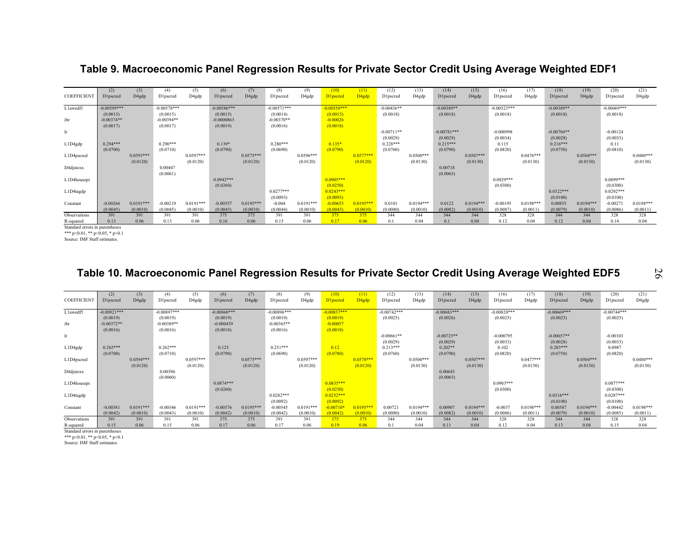## **Table 9. Macroeconomic Panel Regression Results for Private Sector Credit Using Average Weighted EDF1**

| <b>COEFFICIENT</b>                          | (2)<br><b>D</b> 1pscred | (3)<br>D4gdp | (4)<br>D1pscred | (5)<br>D <sub>4</sub> gdp | (6)<br>D1pscred | (7)<br>D4gdp | (8)<br>D1pscred | (9)<br>D4gdp | (10)<br>D1pscred | (11)<br>D <sub>4gdp</sub> | (12)<br><b>D1pscred</b> | (13)<br>D4gdp | (14)<br>D1pscred | (15)<br>D4gdp | (16)<br>D1pscred | (17)<br>D4gdp | (18)<br>D1pscred | (19)<br>D4gdp | (20)<br>D1pscred | (21)<br>D4gdp |
|---------------------------------------------|-------------------------|--------------|-----------------|---------------------------|-----------------|--------------|-----------------|--------------|------------------|---------------------------|-------------------------|---------------|------------------|---------------|------------------|---------------|------------------|---------------|------------------|---------------|
| Llawedfl                                    | $-0.00599***$           |              | $-0.00578***$   |                           | $-0.00586***$   |              | $-0.00571***$   |              | $-0.00558***$    |                           | $-0.00436**$            |               | $-0.00389**$     |               | $-0.00523***$    |               | $-0.00389**$     |               | $-0.00469***$    |               |
|                                             | (0.0015)                |              | (0.0015)        |                           | (0.0015)        |              | (0.0014)        |              | (0.0015)         |                           | (0.0018)                |               | (0.0018)         |               | (0.0018)         |               | (0.0018)         |               | (0.0018)         |               |
| ibr                                         | $-0.00374**$            |              | $-0.00394**$    |                           | $-0.0000863$    |              | $-0.00370**$    |              | $-0.00026$       |                           |                         |               |                  |               |                  |               |                  |               |                  |               |
|                                             | (0.0017)                |              | (0.0017)        |                           | (0.0019)        |              | (0.0016)        |              | (0.0018)         |                           |                         |               |                  |               |                  |               |                  |               |                  |               |
| lr.                                         |                         |              |                 |                           |                 |              |                 |              |                  |                           | $-0.00711**$            |               | $-0.00781***$    |               | $-0.000998$      |               | $-0.00704**$     |               | $-0.00124$       |               |
|                                             |                         |              |                 |                           |                 |              |                 |              |                  |                           | (0.0029)                |               | (0.0029)         |               | (0.0034)         |               | (0.0028)         |               | (0.0033)         |               |
| L1D4gdp                                     | $0.294***$              |              | $0.290***$      |                           | $0.139*$        |              | $0.280***$      |              | $0.135*$         |                           | $0.228***$              |               | $0.215***$       |               | 0.115            |               | $0.216***$       |               | 0.11             |               |
|                                             | (0.0700)                |              | (0.0710)        |                           | (0.0790)        |              | (0.0690)        |              | (0.0790)         |                           | (0.0760)                |               | (0.0790)         |               | (0.0820)         |               | (0.0750)         |               | (0.0810)         |               |
| L1D4pscred                                  |                         | $0.0593***$  |                 | $0.0597***$               |                 | $0.0575***$  |                 | $0.0596***$  |                  | $0.0577***$               |                         | $0.0500***$   |                  | $0.0507***$   |                  | $0.0476***$   |                  | $0.0504***$   |                  | $0.0480***$   |
|                                             |                         | (0.0120)     |                 | (0.0120)                  |                 | (0.0120)     |                 | (0.0120)     |                  | (0.0120)                  |                         | (0.0130)      |                  | (0.0130)      |                  | (0.0130)      |                  | (0.0130)      |                  | (0.0130)      |
| D4djstoxx                                   |                         |              | 0.00447         |                           |                 |              |                 |              |                  |                           |                         |               | 0.00718          |               |                  |               |                  |               |                  |               |
|                                             |                         |              | (0.0061)        |                           |                 |              |                 |              |                  |                           |                         |               | (0.0065)         |               |                  |               |                  |               |                  |               |
| L1D4housepi                                 |                         |              |                 |                           | $0.0942***$     |              |                 |              | $0.0905***$      |                           |                         |               |                  |               | $0.0929***$      |               |                  |               | $0.0899***$      |               |
|                                             |                         |              |                 |                           | (0.0260)        |              |                 |              | (0.0250)         |                           |                         |               |                  |               | (0.0300)         |               |                  |               | (0.0300)         |               |
| L1D4tagdp                                   |                         |              |                 |                           |                 |              | $0.0277***$     |              | $0.0243***$      |                           |                         |               |                  |               |                  |               | $0.0322***$      |               | $0.0292***$      |               |
|                                             |                         |              |                 |                           |                 |              | (0.0093)        |              | (0.0093)         |                           |                         |               |                  |               |                  |               | (0.0100)         |               | (0.0100)         |               |
| Constant                                    | $-0.00266$              | $0.0191***$  | $-0.00219$      | $0.0191***$               | $-0.00557$      | $0.0195***$  | $-0.004$        | $0.0191***$  | $-0.00655$       | $0.0195***$               | 0.0101                  | $0.0194***$   | 0.0122           | $0.0194***$   | $-0.00195$       | $0.0198***$   | 0.00855          | $0.0194***$   | $-0.00271$       | $0.0198***$   |
|                                             | (0.0045)                | (0.0010)     | (0.0045)        | (0.0010)                  | (0.0045)        | (0.0010)     | (0.0044)        | (0.0010)     | (0.0045)         | (0.0010)                  | (0.0080)                | (0.0010)      | (0.0082)         | (0.0010)      | (0.0087)         | (0.0011)      | (0.0079)         | (0.0010)      | (0.0086)         | (0.0011)      |
| Observations                                | 391                     | 391          | 391             | 391                       | 375             | 375          | 391             | 391          | 375              | 375                       | 344                     | 344           | 344              | 344           | 328              | 328           | 344              | 344           | 328              | 328           |
| R-squared<br>Standard errors in narentheses | 0.13                    | 0.06         | 0.13            | 0.06                      | 0.16            | 0.06         | 0.15            | 0.06         | 0.17             | 0.06                      | 01                      | 0.04          | 0.1              | 0.04          | 0.12             | 0.04          | 0.12             | 0.04          | 0.14             | 0.04          |

Standard errors in parentheses \*\*\* p<0.01, \*\* p<0.05, \* p<0.1

Source: IMF Staff estimates.

## **Table 10. Macroeconomic Panel Regression Results for Private Sector Credit Using Average Weighted EDF5**

26

|                                | (2)           | (3)         | (4)           | (5)         | (6)           | (7)         | (8)           | (9)         | (10)          | (11)              | (12)           | (13)        | (14)          | (15)        | (16)          | (17)        | (18)          | (19)        | (20)          | (21)        |
|--------------------------------|---------------|-------------|---------------|-------------|---------------|-------------|---------------|-------------|---------------|-------------------|----------------|-------------|---------------|-------------|---------------|-------------|---------------|-------------|---------------|-------------|
| <b>COEFFICIENT</b>             | D1pscred      | D4gdp       | D1pscred      | D4gdp       | D1pscred      | D4gdp       | D1pscred      | D4gdp       | D1pscred      | D <sub>4gdp</sub> | D1pscred       | D4gdp       | D1pscred      | D4gdp       | D1pscred      | D4gdp       | D1pscred      | D4gdp       | D1pscred      | D4gdp       |
|                                |               |             |               |             |               |             |               |             |               |                   |                |             |               |             |               |             |               |             |               |             |
| L1awedf5                       | $-0.00921***$ |             | $-0.00897***$ |             | $-0.00860***$ |             | $-0.00896***$ |             | $-0.00837***$ |                   | $-0.00742***$  |             | $-0.00683***$ |             | $-0.00820***$ |             | $-0.00669***$ |             | $-0.00744***$ |             |
|                                | (0.0019)      |             | (0.0019)      |             | (0.0019)      |             | (0.0019)      |             | (0.0019)      |                   | (0.0025)       |             | (0.0026)      |             | (0.0025)      |             | (0.0025)      |             | (0.0025)      |             |
| ibr                            | $-0.00372**$  |             | $-0.00389**$  |             | $-0.000439$   |             | $-0.00365**$  |             | $-0.00057$    |                   |                |             |               |             |               |             |               |             |               |             |
|                                | (0.0016)      |             | (0.0016)      |             | (0.0018)      |             | (0.0016)      |             | (0.0018)      |                   |                |             |               |             |               |             |               |             |               |             |
| lr.                            |               |             |               |             |               |             |               |             |               |                   | $-0.00661**$   |             | $-0.00725**$  |             | $-0.000795$   |             | $-0.00657**$  |             | $-0.00103$    |             |
|                                |               |             |               |             |               |             |               |             |               |                   | (0.0029)       |             | (0.0029)      |             | (0.0033)      |             | (0.0028)      |             | (0.0033)      |             |
| L1D4gdp                        | $0.265***$    |             | $0.262***$    |             | 0.125         |             | $0.251***$    |             | 0.12          |                   | $0.213***$     |             | $0.202**$     |             | 0.102         |             | $0.203***$    |             | 0.0987        |             |
|                                |               |             |               |             |               |             |               |             |               |                   |                |             |               |             |               |             |               |             |               |             |
|                                | (0.0700)      |             | (0.0710)      |             | (0.0790)      |             | (0.0690)      |             | (0.0780)      |                   | (0.0760)       |             | (0.0790)      |             | (0.0820)      |             | (0.0750)      |             | (0.0820)      |             |
| L1D4pscred                     |               | $0.0594***$ |               | $0.0597***$ |               | $0.0575***$ |               | $0.0597***$ |               | $0.0578***$       |                | $0.0500***$ |               | $0.0507***$ |               | $0.0477***$ |               | $0.0504***$ |               | $0.0480***$ |
|                                |               | (0.0120)    |               | (0.0120)    |               | (0.0120)    |               | (0.0120)    |               | (0.0120)          |                | (0.0130)    |               | (0.0130)    |               | (0.0130)    |               | (0.0130)    |               | (0.0130)    |
| D4djstoxx                      |               |             | 0.00396       |             |               |             |               |             |               |                   |                |             | 0.00643       |             |               |             |               |             |               |             |
|                                |               |             | (0.0060)      |             |               |             |               |             |               |                   |                |             | (0.0065)      |             |               |             |               |             |               |             |
| L1D4housepi                    |               |             |               |             | $0.0874***$   |             |               |             | $0.0835***$   |                   |                |             |               |             | $0.0903***$   |             |               |             | $0.0877***$   |             |
|                                |               |             |               |             | (0.0260)      |             |               |             | (0.0250)      |                   |                |             |               |             | (0.0300)      |             |               |             | (0.0300)      |             |
| L1D4tagdp                      |               |             |               |             |               |             | $0.0282***$   |             | $0.0252***$   |                   |                |             |               |             |               |             | $0.0316***$   |             | $0.0287***$   |             |
|                                |               |             |               |             |               |             | (0.0092)      |             | (0.0092)      |                   |                |             |               |             |               |             | (0.0100)      |             | (0.0100)      |             |
| Constant                       | $-0.00381$    | $0.0191***$ | $-0.00346$    | $0.0191***$ | $-0.00576$    | $0.0195***$ | $-0.00545$    | $0.0191***$ | $-0.00710*$   | $0.0195***$       | 0.00721        | $0.0194***$ | 0.00907       | $0.0194***$ | $-0.0037$     | $0.0198***$ | 0.00587       | $0.0194***$ | $-0.00442$    | $0.0198***$ |
|                                |               |             |               |             |               |             |               |             |               |                   |                |             |               |             |               |             |               |             |               |             |
|                                | (0.0042)      | (0.0010)    | (0.0043)      | (0.0010)    | (0.0042)      | (0.0010)    | (0.0042)      | (0.0010)    | (0.0042)      | (0.0010)          | (0.0080)       | (0.0010)    | (0.0082)      | (0.0010)    | (0.0086)      | (0.0011)    | (0.0079)      | (0.0010)    | (0.0085)      | (0.0011)    |
| Observations                   | 391           | 391         | 391           | 391         | 375           | 375         | 391           | 391         | 375           | 375               | 344            | 344         | 344           | 344         | 328           | 328         | 344           | 344         | 328           | 328         |
| R-squared                      | 0.15          | 0.06        | 0.15          | 0.06        | 0.17          | 0.06        | 0.17          | 0.06        | 0.19          | 0.06              | 0 <sub>1</sub> | 0.04        | 0.11          | 0.04        | 0.12          | 0.04        | 0.13          | 0.04        | 0.15          | 0.04        |
| Ctondord oppose in normalizano |               |             |               |             |               |             |               |             |               |                   |                |             |               |             |               |             |               |             |               |             |

ard errors in parent

\*\*\* p<0.01, \*\* p<0.05, \* p<0.1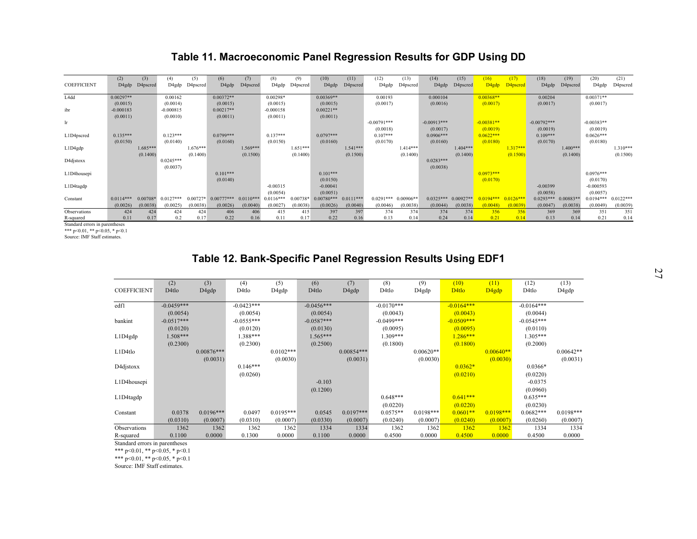## **Table 11. Macroeconomic Panel Regression Results for GDP Using DD**

|                                   | (2)                    | (3)        | (4)                    | (5)        | (6)          | (7)         | (8)                    | (9)        | (10)                    | (11)        | (12)                   | (13)        | (14)                    | (15)        | (16)                    | (17)        | (18)                   | (19)        | (20)                    | (21)        |
|-----------------------------------|------------------------|------------|------------------------|------------|--------------|-------------|------------------------|------------|-------------------------|-------------|------------------------|-------------|-------------------------|-------------|-------------------------|-------------|------------------------|-------------|-------------------------|-------------|
| <b>COEFFICIENT</b>                | D4gdp                  | D4pscred   | D4gdp                  | D4pscred   | D4gdp        | D4pscred    | D4gdp                  | D4pscred   | D4gdp                   | D4pscred    | D4gdp                  | D4pscred    | D4gdp                   | D4pscred    | D <sub>4gdp</sub>       | D4pscred    | D4gdp                  | D4pscred    | D4gdp                   | D4pscred    |
| L4dd                              | $0.00297**$            |            | 0.00162                |            | $0.00372**$  |             | 0.00298*               |            | $0.00369**$             |             | 0.00193                |             | 0.000104                |             | $0.00368**$             |             | 0.00204                |             | $0.00371**$             |             |
|                                   | (0.0015)               |            | (0.0014)               |            | (0.0015)     |             | (0.0015)               |            | (0.0015)                |             | (0.0017)               |             | (0.0016)                |             | (0.0017)                |             | (0.0017)               |             | (0.0017)                |             |
| ibr                               | $-0.000183$            |            | $-0.000815$            |            | $0.00217**$  |             | $-0.000158$            |            | $0.00221**$             |             |                        |             |                         |             |                         |             |                        |             |                         |             |
|                                   | (0.0011)               |            | (0.0010)               |            | (0.0011)     |             | (0.0011)               |            | (0.0011)                |             |                        |             |                         |             |                         |             |                        |             |                         |             |
| lr                                |                        |            |                        |            |              |             |                        |            |                         |             | $-0.00791***$          |             | $-0.00913***$           |             | $-0.00381**$            |             | $-0.00792***$          |             | $-0.00383**$            |             |
|                                   |                        |            |                        |            |              |             |                        |            |                         |             | (0.0018)               |             | (0.0017)                |             | (0.0019)                |             | (0.0019)               |             | (0.0019)                |             |
| L1D4pscred                        | $0.135***$<br>(0.0150) |            | $0.123***$<br>(0.0140) |            | $0.0799***$  |             | $0.137***$<br>(0.0150) |            | $0.0797***$<br>(0.0160) |             | $0.107***$<br>(0.0170) |             | $0.0906***$<br>(0.0160) |             | $0.0622***$<br>(0.0180) |             | $0.109***$<br>(0.0170) |             | $0.0626***$<br>(0.0180) |             |
| L1D4gdp                           |                        | $1.685***$ |                        | $1.676***$ | (0.0160)     | $1.569***$  |                        | $1.651***$ |                         | $1.541***$  |                        | $1.414***$  |                         | $1.404***$  |                         | $1.317***$  |                        | $1.400***$  |                         | $1.310***$  |
|                                   |                        | (0.1400)   |                        | (0.1400)   |              | (0.1500)    |                        | (0.1400)   |                         | (0.1500)    |                        | (0.1400)    |                         | (0.1400)    |                         | (0.1500)    |                        | (0.1400)    |                         | (0.1500)    |
| D4djstoxx                         |                        |            | $0.0245***$            |            |              |             |                        |            |                         |             |                        |             | $0.0283***$             |             |                         |             |                        |             |                         |             |
|                                   |                        |            | (0.0037)               |            |              |             |                        |            |                         |             |                        |             | (0.0038)                |             |                         |             |                        |             |                         |             |
| L1D4housepi                       |                        |            |                        |            | $0.101***$   |             |                        |            | $0.101***$              |             |                        |             |                         |             | $0.0973***$             |             |                        |             | $0.0976***$             |             |
|                                   |                        |            |                        |            | (0.0140)     |             |                        |            | (0.0150)                |             |                        |             |                         |             | (0.0170)                |             |                        |             | (0.0170)                |             |
| L1D4tagdp                         |                        |            |                        |            |              |             | $-0.00315$             |            | $-0.00041$              |             |                        |             |                         |             |                         |             | $-0.00399$             |             | $-0.000593$             |             |
|                                   |                        |            |                        |            |              |             | (0.0054)               |            | (0.0051)                |             |                        |             |                         |             |                         |             | (0.0058)               |             | (0.0057)                |             |
| Constant                          | $0.0114***$            | $0.00708*$ | $0.0127***$            | $0.00727*$ | $0.00777***$ | $0.0110***$ | $0.0116***$            | 0.00738*   | $0.00780***$            | $0.0111***$ | $0.0291***$            | $0.00906**$ | $0.0325***$             | $0.00927**$ | $0194***$               | $0.0126***$ | $0.0293***$            | $0.00883**$ | $0.0194***$             | $0.0122***$ |
|                                   | (0.0026)               | (0.0038)   | (0.0025)               | (0.0038)   | (0.0026)     | (0.0040)    | (0.0027)               | (0.0038)   | (0.0026)                | (0.0040)    | (0.0046)               | (0.0038)    | (0.0044)                | (0.0038)    | (0.0048)                | (0.0039)    | (0.0047)               | (0.0038)    | (0.0049)                | (0.0039)    |
| Observations                      | 424                    | 424        | 424                    | 424        | 406          | 406         | 415                    | 415        | 397                     | 397         | 374                    | 374         | 374                     | 374         | 356                     | 356         | 369                    | 369         | 351                     | 351         |
| R-squared<br>$\sim$ $\sim$ $\sim$ | 0.11                   | 0.17       | 0.2                    | 0.17       | 0.22         | 0.16        | 0.11                   | 0.17       | 0.22                    | 0.16        | 0.13                   | 0.14        | 0.24                    | 0.14        | 0.21                    | 014         | 0.13                   | 0.14        | 0.21                    | 0.14        |

Standard errors in parentheses \*\*\* p<0.01, \*\* p<0.05, \* p<0.1

Source: IMF Staff estimates.

**Table 12. Bank-Specific Panel Regression Results Using EDF1** 

|                    | (2)               | (3)                | (4)          | (5)         | (6)          | (7)                | (8)           | (9)         | (10)              | (11)                           | (12)         | (13)        |
|--------------------|-------------------|--------------------|--------------|-------------|--------------|--------------------|---------------|-------------|-------------------|--------------------------------|--------------|-------------|
| <b>COEFFICIENT</b> | D <sub>4tlo</sub> | D <sub>4</sub> gdp | D4tlo        | D4gdp       | D4tlo        | D <sub>4</sub> gdp | D4tlo         | D4gdp       | D <sub>4tlo</sub> | D <sub>4</sub> g <sub>dp</sub> | D4tlo        | D4gdp       |
|                    |                   |                    |              |             |              |                    |               |             |                   |                                |              |             |
| edfl               | $-0.0459***$      |                    | $-0.0423***$ |             | $-0.0456***$ |                    | $-0.0170***$  |             | $-0.0164***$      |                                | $-0.0164***$ |             |
|                    | (0.0054)          |                    | (0.0054)     |             | (0.0054)     |                    | (0.0043)      |             | (0.0043)          |                                | (0.0044)     |             |
| bankint            | $-0.0517***$      |                    | $-0.0555***$ |             | $-0.0587***$ |                    | $-0.0499$ *** |             | $-0.0509***$      |                                | $-0.0545***$ |             |
|                    | (0.0120)          |                    | (0.0120)     |             | (0.0130)     |                    | (0.0095)      |             | (0.0095)          |                                | (0.0110)     |             |
| L1D4gdp            | $1.508***$        |                    | 1.388***     |             | $1.565***$   |                    | 1.309***      |             | $1.286***$        |                                | $1.305***$   |             |
|                    | (0.2300)          |                    | (0.2300)     |             | (0.2500)     |                    | (0.1800)      |             | (0.1800)          |                                | (0.2000)     |             |
| L1D4tlo            |                   | $0.00876***$       |              | $0.0102***$ |              | $0.00854***$       |               | $0.00620**$ |                   | $0.00640**$                    |              | $0.00642**$ |
|                    |                   | (0.0031)           |              | (0.0030)    |              | (0.0031)           |               | (0.0030)    |                   | (0.0030)                       |              | (0.0031)    |
| D4djstoxx          |                   |                    | $0.146***$   |             |              |                    |               |             | $0.0362*$         |                                | $0.0366*$    |             |
|                    |                   |                    | (0.0260)     |             |              |                    |               |             | (0.0210)          |                                | (0.0220)     |             |
| L1D4housepi        |                   |                    |              |             | $-0.103$     |                    |               |             |                   |                                | $-0.0375$    |             |
|                    |                   |                    |              |             | (0.1200)     |                    |               |             |                   |                                | (0.0960)     |             |
| L1D4tagdp          |                   |                    |              |             |              |                    | $0.648***$    |             | $0.641***$        |                                | $0.635***$   |             |
|                    |                   |                    |              |             |              |                    | (0.0220)      |             | (0.0220)          |                                | (0.0230)     |             |
| Constant           | 0.0378            | $0.0196***$        | 0.0497       | $0.0195***$ | 0.0545       | $0.0197***$        | $0.0575**$    | $0.0198***$ | $0.0601**$        | $0.0198***$                    | $0.0682***$  | $0.0198***$ |
|                    | (0.0310)          | (0.0007)           | (0.0310)     | (0.0007)    | (0.0330)     | (0.0007)           | (0.0240)      | (0.0007)    | (0.0240)          | (0.0007)                       | (0.0260)     | (0.0007)    |
| Observations       | 1362              | 1362               | 1362         | 1362        | 1334         | 1334               | 1362          | 1362        | 1362              | 1362                           | 1334         | 1334        |
| R-squared          | 0.1100            | 0.0000             | 0.1300       | 0.0000      | 0.1100       | 0.0000             | 0.4500        | 0.0000      | 0.4500            | 0.0000                         | 0.4500       | 0.0000      |

Standard errors in parentheses

\*\*\* p<0.01, \*\* p<0.05, \* p<0.1

\*\*\* p<0.01, \*\* p<0.05, \* p<0.1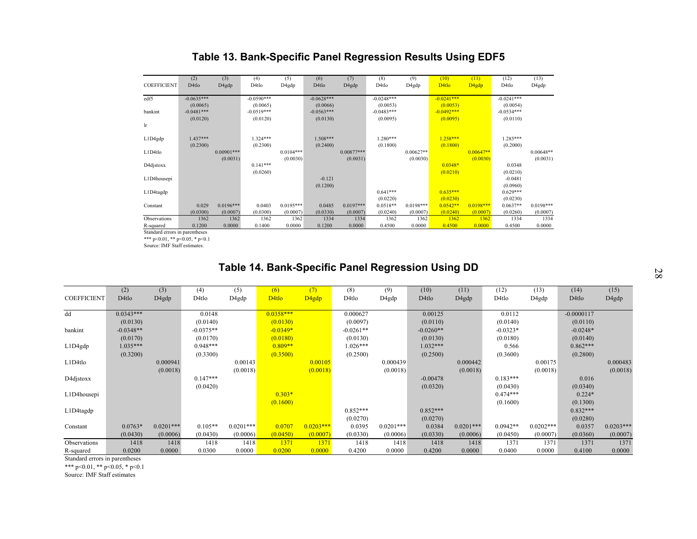## **Table 13. Bank-Specific Panel Regression Results Using EDF5**

| (2)          | (3)                                            | (4)          | (5)                | (6)               | (7)          | (8)          | (9)          | (10)              | (11)              | (12)         | (13)                     |
|--------------|------------------------------------------------|--------------|--------------------|-------------------|--------------|--------------|--------------|-------------------|-------------------|--------------|--------------------------|
| D4tlo        | D <sub>4</sub> gdp                             | D4tlo        | D <sub>4</sub> gdp | D <sub>4tlo</sub> | D4gdp        | D4tlo        | D4gdp        | D <sub>4tlo</sub> | D <sub>4gdp</sub> | D4tlo        | D4gdp                    |
|              |                                                |              |                    |                   |              |              |              |                   |                   |              |                          |
|              |                                                |              |                    |                   |              |              |              |                   |                   |              |                          |
| (0.0065)     |                                                | (0.0065)     |                    | (0.0066)          |              | (0.0053)     |              | (0.0053)          |                   |              |                          |
| $-0.0481***$ |                                                | $-0.0519***$ |                    | $-0.0563***$      |              | $-0.0483***$ |              | $-0.0492***$      |                   | $-0.0534***$ |                          |
| (0.0120)     |                                                | (0.0120)     |                    | (0.0130)          |              | (0.0095)     |              | (0.0095)          |                   | (0.0110)     |                          |
|              |                                                |              |                    |                   |              |              |              |                   |                   |              |                          |
|              |                                                |              |                    |                   |              |              |              |                   |                   |              |                          |
| $1.437***$   |                                                | $1.324***$   |                    | 1.508***          |              | $1.280***$   |              | $1.258***$        |                   | 1.285***     |                          |
| (0.2300)     |                                                | (0.2300)     |                    | (0.2400)          |              | (0.1800)     |              | (0.1800)          |                   | (0.2000)     |                          |
|              | $0.00901***$                                   |              | $0.0104***$        |                   | $0.00877***$ |              | $0.00627**$  |                   | $0.00647**$       |              | $0.00648**$              |
|              | (0.0031)                                       |              | (0.0030)           |                   | (0.0031)     |              | (0.0030)     |                   | (0.0030)          |              | (0.0031)                 |
|              |                                                | $0.141***$   |                    |                   |              |              |              | $0.0348*$         |                   | 0.0348       |                          |
|              |                                                | (0.0260)     |                    |                   |              |              |              | (0.0210)          |                   | (0.0210)     |                          |
|              |                                                |              |                    | $-0.121$          |              |              |              |                   |                   | $-0.0481$    |                          |
|              |                                                |              |                    | (0.1200)          |              |              |              |                   |                   | (0.0960)     |                          |
|              |                                                |              |                    |                   |              | $0.641***$   |              | $0.635***$        |                   | $0.629***$   |                          |
|              |                                                |              |                    |                   |              | (0.0220)     |              | (0.0230)          |                   | (0.0230)     |                          |
| 0.029        | $0.0196***$                                    | 0.0403       | $0.0195***$        | 0.0485            | $0.0197***$  | $0.0518**$   | $0.0198***$  | $0.0542**$        | $0.0198***$       | $0.0637**$   | $0.0198***$              |
| (0.0300)     | (0.0007)                                       | (0.0300)     | (0.0007)           | (0.0330)          | (0.0007)     | (0.0240)     | (0.0007)     | (0.0240)          | (0.0007)          | (0.0260)     | (0.0007)                 |
| 1362         | 1362                                           | 1362         | 1362               | 1334              | 1334         | 1362         | 1362         | 1362              | 1362              | 1334         | 1334                     |
| 0.1200       | 0.0000                                         | 0.1400       | 0.0000             | 0.1200            | 0.0000       | 0.4500       | 0.0000       | 0.4500            | 0.0000            | 0.4500       | 0.0000                   |
|              | $-0.0635***$<br>Chandred annous in nononthoops |              | $-0.0590***$       |                   | $-0.0628***$ |              | $-0.0248***$ |                   | $-0.0241***$      |              | $-0.0241***$<br>(0.0054) |

lard errors in parentheses

\*\*\* p<0.01, \*\* p<0.05, \* p<0.1

Source: IMF Staff estimates.

# **Table 14. Bank-Specific Panel Regression Using DD**

| (2)         | (3)                      | (4)         | (5)         | (6)               | (7)                     | (8)         | (9)                            | (10)              | (11)                          | (12)       | (13)               | (14)       | (15)                                           |
|-------------|--------------------------|-------------|-------------|-------------------|-------------------------|-------------|--------------------------------|-------------------|-------------------------------|------------|--------------------|------------|------------------------------------------------|
| D4tlo       | D4gdp                    | D4tlo       | D4gdp       | D <sub>4tlo</sub> | D <sub>4g</sub> dp      | D4tlo       | D4gdp                          | D <sub>4tlo</sub> | D4gdp                         | D4tlo      | D4gdp              | D4tlo      | D4gdp                                          |
|             |                          |             |             |                   |                         |             |                                |                   |                               |            |                    |            |                                                |
|             |                          |             |             |                   |                         |             |                                |                   |                               |            |                    |            |                                                |
| (0.0130)    |                          | (0.0140)    |             | (0.0130)          |                         | (0.0097)    |                                | (0.0110)          |                               | (0.0140)   |                    | (0.0110)   |                                                |
| $-0.0348**$ |                          | $-0.0375**$ |             | $-0.0349*$        |                         | $-0.0261**$ |                                | $-0.0260**$       |                               | $-0.0323*$ |                    | $-0.0248*$ |                                                |
| (0.0170)    |                          | (0.0170)    |             | (0.0180)          |                         | (0.0130)    |                                | (0.0130)          |                               | (0.0180)   |                    | (0.0140)   |                                                |
| 1.035***    |                          | $0.948***$  |             | $0.809**$         |                         | $1.026***$  |                                | $1.032***$        |                               | 0.566      |                    | $0.862***$ |                                                |
| (0.3200)    |                          | (0.3300)    |             | (0.3500)          |                         | (0.2500)    |                                | (0.2500)          |                               | (0.3600)   |                    | (0.2800)   |                                                |
|             | 0.000941                 |             | 0.00143     |                   | 0.00105                 |             | 0.000439                       |                   | 0.000442                      |            | 0.00175            |            | 0.000483                                       |
|             | (0.0018)                 |             | (0.0018)    |                   | (0.0018)                |             | (0.0018)                       |                   | (0.0018)                      |            | (0.0018)           |            | (0.0018)                                       |
|             |                          | $0.147***$  |             |                   |                         |             |                                | $-0.00478$        |                               | $0.183***$ |                    | 0.016      |                                                |
|             |                          | (0.0420)    |             |                   |                         |             |                                | (0.0320)          |                               | (0.0430)   |                    | (0.0340)   |                                                |
|             |                          |             |             | $0.303*$          |                         |             |                                |                   |                               | $0.474***$ |                    | $0.224*$   |                                                |
|             |                          |             |             |                   |                         |             |                                |                   |                               |            |                    |            |                                                |
|             |                          |             |             |                   |                         | $0.852***$  |                                | $0.852***$        |                               |            |                    | $0.832***$ |                                                |
|             |                          |             |             |                   |                         |             |                                |                   |                               |            |                    |            |                                                |
|             | $0.0201***$              | $0.105**$   | $0.0201***$ | 0.0707            | $0.0203***$             |             | $0.0201***$                    |                   | $0.0201***$                   | $0.0942**$ | $0.0202***$        |            | $0.0203***$                                    |
| (0.0430)    | (0.0006)                 | (0.0430)    | (0.0006)    | (0.0450)          | (0.0007)                | (0.0330)    | (0.0006)                       | (0.0330)          | (0.0006)                      | (0.0450)   | (0.0007)           | (0.0360)   | (0.0007)                                       |
| 1418        | 1418                     | 1418        | 1418        | 1371              | 1371                    | 1418        | 1418                           | 1418              | 1418                          | 1371       | 1371               | 1371       | 1371                                           |
| 0.0200      | 0.0000                   | 0.0300      | 0.0000      | 0.0200            | 0.0000                  | 0.4200      | 0.0000                         | 0.4200            | 0.0000                        | 0.0400     | 0.0000             | 0.4100     | 0.0000                                         |
|             | $0.0343***$<br>$0.0763*$ |             | 0.0148      |                   | $0.0358***$<br>(0.1600) |             | 0.000627<br>(0.0270)<br>0.0395 |                   | 0.00125<br>(0.0270)<br>0.0384 |            | 0.0112<br>(0.1600) |            | $-0.0000117$<br>(0.1300)<br>(0.0280)<br>0.0357 |

Standard errors in parentheses

\*\*\* p<0.01, \*\* p<0.05, \* p<0.1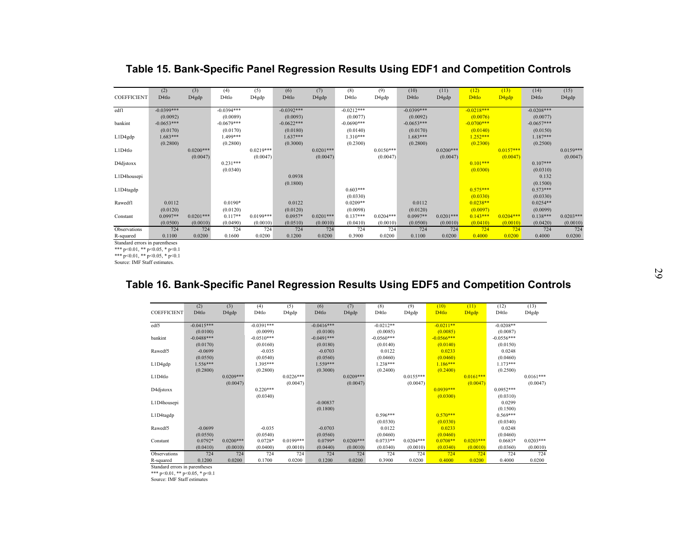|                    | (2)               | (3)                | (4)          | (5)         | (6)               | (7)                | (8)          | (9)         | (10)         | (11)        | (12)              | (13)              | (14)              | (15)               |
|--------------------|-------------------|--------------------|--------------|-------------|-------------------|--------------------|--------------|-------------|--------------|-------------|-------------------|-------------------|-------------------|--------------------|
| <b>COEFFICIENT</b> | D <sub>4tlo</sub> |                    | D4tlo        |             | D <sub>4tlo</sub> |                    | D4tlo        |             | D4tlo        | D4gdp       | D <sub>4tlo</sub> |                   | D <sub>4tlo</sub> |                    |
|                    |                   | D <sub>4</sub> gdp |              | D4gdp       |                   | D <sub>4</sub> gdp |              | D4gdp       |              |             |                   | D <sub>4gdp</sub> |                   | D <sub>4</sub> gdp |
| edfl               | $-0.0399***$      |                    | $-0.0394***$ |             | $-0.0392***$      |                    | $-0.0212***$ |             | $-0.0399***$ |             | $-0.0218***$      |                   | $-0.0208***$      |                    |
|                    | (0.0092)          |                    | (0.0089)     |             | (0.0093)          |                    | (0.0077)     |             | (0.0092)     |             | (0.0076)          |                   | (0.0077)          |                    |
| bankint            | $-0.0653***$      |                    | $-0.0679***$ |             | $-0.0622***$      |                    | $-0.0690***$ |             | $-0.0653***$ |             | $-0.0700***$      |                   | $-0.0657***$      |                    |
|                    | (0.0170)          |                    | (0.0170)     |             | (0.0180)          |                    | (0.0140)     |             | (0.0170)     |             | (0.0140)          |                   | (0.0150)          |                    |
| L1D4gdp            | $1.683***$        |                    | 1.499***     |             | $1.637***$        |                    | $1.310***$   |             | $1.683***$   |             | $1.252***$        |                   | $1.187***$        |                    |
|                    | (0.2800)          |                    | (0.2800)     |             | (0.3000)          |                    | (0.2300)     |             | (0.2800)     |             | (0.2300)          |                   | (0.2500)          |                    |
| L1D4tlo            |                   | $0.0200***$        |              | $0.0219***$ |                   | $0.0201***$        |              | $0.0150***$ |              | $0.0200***$ |                   | $0.0157***$       |                   | $0.0159***$        |
|                    |                   | (0.0047)           |              | (0.0047)    |                   | (0.0047)           |              | (0.0047)    |              | (0.0047)    |                   | (0.0047)          |                   | (0.0047)           |
| D4djstoxx          |                   |                    | $0.231***$   |             |                   |                    |              |             |              |             | $0.101***$        |                   | $0.107***$        |                    |
|                    |                   |                    | (0.0340)     |             |                   |                    |              |             |              |             | (0.0300)          |                   | (0.0310)          |                    |
| L1D4housepi        |                   |                    |              |             | 0.0938            |                    |              |             |              |             |                   |                   | 0.132             |                    |
|                    |                   |                    |              |             | (0.1800)          |                    |              |             |              |             |                   |                   | (0.1500)          |                    |
| L1D4tagdp          |                   |                    |              |             |                   |                    | $0.603***$   |             |              |             | $0.575***$        |                   | $0.573***$        |                    |
|                    |                   |                    |              |             |                   |                    | (0.0330)     |             |              |             | (0.0330)          |                   | (0.0330)          |                    |
| Rawedf1            | 0.0112            |                    | $0.0190*$    |             | 0.0122            |                    | $0.0209**$   |             | 0.0112       |             | $0.0238**$        |                   | $0.0254**$        |                    |
|                    | (0.0120)          |                    | (0.0120)     |             | (0.0120)          |                    | (0.0098)     |             | (0.0120)     |             | (0.0097)          |                   | (0.0099)          |                    |
| Constant           | $0.0997**$        | $0.0201***$        | $0.117**$    | $0.0199***$ | $0.0957*$         | $0.0201***$        | $0.137***$   | $0.0204***$ | $0.0997**$   | $0.0201***$ | $0.143***$        | $0.0204***$       | $0.138***$        | $0.0203***$        |
|                    | (0.0500)          | (0.0010)           | (0.0490)     | (0.0010)    | (0.0510)          | (0.0010)           | (0.0410)     | (0.0010)    | (0.0500)     | (0.0010)    | (0.0410)          | (0.0010)          | (0.0420)          | (0.0010)           |
| Observations       | 724               | 724                | 724          | 724         | 724               | 724                | 724          | 724         | 724          | 724         | 724               | 724               | 724               | 724                |
| R-squared          | 0.1100            | 0.0200             | 0.1600       | 0.0200      | 0.1200            | 0.0200             | 0.3900       | 0.0200      | 0.1100       | 0.0200      | 0.4000            | 0.0200            | 0.4000            | 0.0200             |
|                    |                   |                    |              |             |                   |                    |              |             |              |             |                   |                   |                   |                    |

## **Table 15. Bank-Specific Panel Regression Results Using EDF1 and Competition Controls**

Standard errors in parentheses

\*\*\* p<0.01, \*\* p<0.05, \* p<0.1 \*\*\* p<0.01, \*\* p<0.05, \* p<0.1

Source: IMF Staff estimates.

## **Table 16. Bank-Specific Panel Regression Results Using EDF5 and Competition Controls**

| <b>COEFFICIENT</b>                          | (2)<br>D <sub>4tlo</sub> | (3)<br>D4gdp | (4)<br>D4tlo | (5)<br>D4gdp | (6)<br>D4tlo | (7)<br>D4gdp | (8)<br>D4tlo | (9)<br>D4gdp | (10)<br>D <sub>4tlo</sub> | (11)<br>D <sub>4gdp</sub> | (12)<br>D4tlo | (13)<br>D4gdp |
|---------------------------------------------|--------------------------|--------------|--------------|--------------|--------------|--------------|--------------|--------------|---------------------------|---------------------------|---------------|---------------|
| edf5                                        | $-0.0415***$             |              | $-0.0391***$ |              | $-0.0416***$ |              | $-0.0212**$  |              | $-0.0211**$               |                           | $-0.0208**$   |               |
|                                             | (0.0100)                 |              | (0.0099)     |              | (0.0100)     |              | (0.0085)     |              | (0.0085)                  |                           | (0.0087)      |               |
| bankint                                     | $-0.0488***$             |              | $-0.0510***$ |              | $-0.0491***$ |              | $-0.0560***$ |              | $-0.0566***$              |                           | $-0.0556***$  |               |
|                                             | (0.0170)                 |              | (0.0160)     |              | (0.0180)     |              | (0.0140)     |              | (0.0140)                  |                           | (0.0150)      |               |
| Rawedf5                                     | $-0.0699$                |              | $-0.035$     |              | $-0.0703$    |              | 0.0122       |              | 0.0233                    |                           | 0.0248        |               |
|                                             | (0.0550)                 |              | (0.0540)     |              | (0.0560)     |              | (0.0460)     |              | (0.0460)                  |                           | (0.0460)      |               |
| L1D4gdp                                     | $1.556***$               |              | 1.395***     |              | $1.559***$   |              | $1.238***$   |              | $1.186***$                |                           | $1.173***$    |               |
|                                             | (0.2800)                 |              | (0.2800)     |              | (0.3000)     |              | (0.2400)     |              | (0.2400)                  |                           | (0.2500)      |               |
| L1D4tlo                                     |                          | $0.0209***$  |              | $0.0226***$  |              | $0.0209***$  |              | $0.0155***$  |                           | $0.0161***$               |               | $0.0161***$   |
|                                             |                          | (0.0047)     |              | (0.0047)     |              | (0.0047)     |              | (0.0047)     |                           | (0.0047)                  |               | (0.0047)      |
| D4djstoxx                                   |                          |              | $0.220***$   |              |              |              |              |              | $0.0939***$               |                           | $0.0952***$   |               |
|                                             |                          |              | (0.0340)     |              |              |              |              |              | (0.0300)                  |                           | (0.0310)      |               |
| L1D4housepi                                 |                          |              |              |              | $-0.00837$   |              |              |              |                           |                           | 0.0299        |               |
|                                             |                          |              |              |              | (0.1800)     |              |              |              |                           |                           | (0.1500)      |               |
| L1D4tagdp                                   |                          |              |              |              |              |              | $0.596***$   |              | $0.570***$                |                           | $0.569***$    |               |
|                                             |                          |              |              |              |              |              | (0.0330)     |              | (0.0330)                  |                           | (0.0340)      |               |
| Rawedf5                                     | $-0.0699$                |              | $-0.035$     |              | $-0.0703$    |              | 0.0122       |              | 0.0233                    |                           | 0.0248        |               |
|                                             | (0.0550)                 |              | (0.0540)     |              | (0.0560)     |              | (0.0460)     |              | (0.0460)                  |                           | (0.0460)      |               |
| Constant                                    | $0.0792*$                | $0.0200***$  | $0.0728*$    | $0.0199***$  | $0.0799*$    | $0.0200***$  | $0.0733**$   | $0.0204***$  | $0.0708**$                | $0.0203***$               | $0.0683*$     | $0.0203***$   |
|                                             | (0.0410)                 | (0.0010)     | (0.0400)     | (0.0010)     | (0.0440)     | (0.0010)     | (0.0340)     | (0.0010)     | (0.0340)                  | (0.0010)                  | (0.0360)      | (0.0010)      |
| Observations                                | 724                      | 724          | 724          | 724          | 724          | 724          | 724          | 724          | 724                       | 724                       | 724           | 724           |
| R-squared<br>Ctondard arrare in noranthagae | 0.1200                   | 0.0200       | 0.1700       | 0.0200       | 0.1200       | 0.0200       | 0.3900       | 0.0200       | 0.4000                    | 0.0200                    | 0.4000        | 0.0200        |

rd errors in par

\*\*\* p<0.01, \*\* p<0.05, \* p<0.1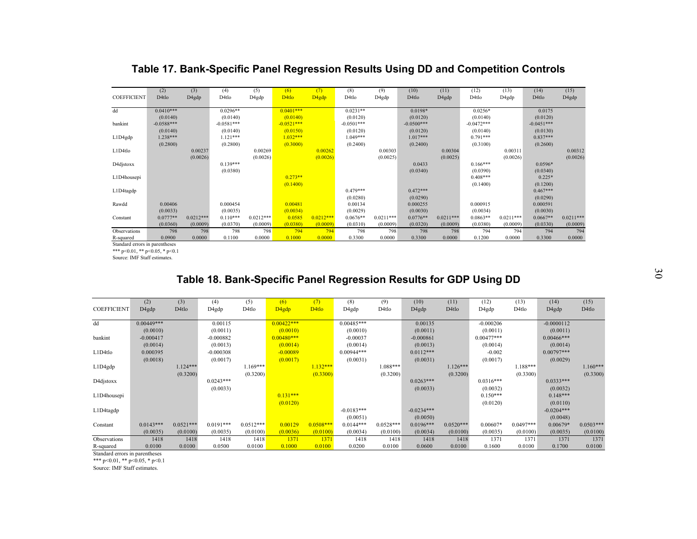|                    | (2)          | (3)         | (4)          | (5)         | (6)               | (7)               | (8)               | (9)         | (10)         | (11)        | (12)         | (13)        | (14)              | (15)        |
|--------------------|--------------|-------------|--------------|-------------|-------------------|-------------------|-------------------|-------------|--------------|-------------|--------------|-------------|-------------------|-------------|
| <b>COEFFICIENT</b> | D4tlo        | D4gdp       | D4tlo        | D4gdp       | D <sub>4tlo</sub> | D <sub>4gdp</sub> | D <sub>4tlo</sub> | D4gdp       | D4tlo        | D4gdp       | D4tlo        | D4gdp       | D <sub>4tlo</sub> | D4gdp       |
|                    |              |             |              |             |                   |                   |                   |             |              |             |              |             |                   |             |
| dd                 | $0.0410***$  |             | $0.0296**$   |             | $0.0401***$       |                   | $0.0231**$        |             | 0.0198*      |             | $0.0256*$    |             | 0.0175            |             |
|                    | (0.0140)     |             | (0.0140)     |             | (0.0140)          |                   | (0.0120)          |             | (0.0120)     |             | (0.0140)     |             | (0.0120)          |             |
| bankint            | $-0.0588***$ |             | $-0.0581***$ |             | $-0.0521***$      |                   | $-0.0501***$      |             | $-0.0500***$ |             | $-0.0472***$ |             | $-0.0451***$      |             |
|                    | (0.0140)     |             | (0.0140)     |             | (0.0150)          |                   | (0.0120)          |             | (0.0120)     |             | (0.0140)     |             | (0.0130)          |             |
| L1D4gdp            | 1.238***     |             | $1.121***$   |             | $1.032***$        |                   | 1.049***          |             | $1.017***$   |             | $0.791***$   |             | $0.837***$        |             |
|                    | (0.2800)     |             | (0.2800)     |             | (0.3000)          |                   | (0.2400)          |             | (0.2400)     |             | (0.3100)     |             | (0.2600)          |             |
| L1D4tlo            |              | 0.00237     |              | 0.00269     |                   | 0.00262           |                   | 0.00303     |              | 0.00304     |              | 0.00311     |                   | 0.00312     |
|                    |              | (0.0026)    |              | (0.0026)    |                   | (0.0026)          |                   | (0.0025)    |              | (0.0025)    |              | (0.0026)    |                   | (0.0026)    |
| D4djstoxx          |              |             | $0.139***$   |             |                   |                   |                   |             | 0.0433       |             | $0.166***$   |             | $0.0596*$         |             |
|                    |              |             | (0.0380)     |             |                   |                   |                   |             | (0.0340)     |             | (0.0390)     |             | (0.0340)          |             |
| L1D4housepi        |              |             |              |             | $0.273**$         |                   |                   |             |              |             | $0.408***$   |             | $0.225*$          |             |
|                    |              |             |              |             | (0.1400)          |                   |                   |             |              |             | (0.1400)     |             | (0.1200)          |             |
| L1D4tagdp          |              |             |              |             |                   |                   | $0.479***$        |             | $0.472***$   |             |              |             | $0.467***$        |             |
|                    |              |             |              |             |                   |                   | (0.0280)          |             | (0.0290)     |             |              |             | (0.0290)          |             |
| Rawdd              | 0.00406      |             | 0.000454     |             | 0.00481           |                   | 0.00134           |             | 0.000255     |             | 0.000915     |             | 0.000591          |             |
|                    | (0.0033)     |             | (0.0035)     |             | (0.0034)          |                   | (0.0029)          |             | (0.0030)     |             | (0.0034)     |             | (0.0030)          |             |
| Constant           | $0.0777**$   | $0.0212***$ | $0.110***$   | $0.0212***$ | 0.0585            | $0.0212***$       | $0.0676**$        | $0.0211***$ | $0.0776**$   | $0.0211***$ | $0.0863**$   | $0.0211***$ | $0.0667**$        | $0.0211***$ |
|                    | (0.0360)     | (0.0009)    | (0.0370)     | (0.0009)    | (0.0380)          | (0.0009)          | (0.0310)          | (0.0009)    | (0.0320)     | (0.0009)    | (0.0380)     | (0.0009)    | (0.0330)          | (0.0009)    |
| Observations       | 798          | 798         | 798          | 798         | 794               | 794               | 798               | 798         | 798          | 798         | 794          | 794         | 794               | 794         |
| R-squared          | 0.0900       | 0.0000      | 0.1100       | 0.0000      | 0.1000            | 0.0000            | 0.3300            | 0.0000      | 0.3300       | 0.0000      | 0.1200       | 0.0000      | 0.3300            | 0.0000      |

**Table 17. Bank-Specific Panel Regression Results Using DD and Competition Controls**

Standard errors in parentheses

\*\*\* p<0.01, \*\* p<0.05, \* p<0.1

Source: IMF Staff estimates.

## **Table 18. Bank-Specific Panel Regression Results for GDP Using DD**

| <b>COEFFICIENT</b> | (2)<br>D4gdp | (3)<br>D4tlo | (4)<br>D4gdp | (5)<br>D4tlo | (6)<br>D4gdp | (7)<br>D <sub>4tlo</sub> | (8)<br>D4gdp | (9)<br>D4tlo | (10)<br>D4gdp | (11)<br>D4tlo | (12)<br>D4gdp | (13)<br>D4tlo | (14)<br>D4gdp | (15)<br>D4tlo |
|--------------------|--------------|--------------|--------------|--------------|--------------|--------------------------|--------------|--------------|---------------|---------------|---------------|---------------|---------------|---------------|
| dd                 | $0.00449***$ |              | 0.00115      |              | $0.00422***$ |                          | $0.00485***$ |              | 0.00135       |               | $-0.000206$   |               | $-0.0000112$  |               |
|                    | (0.0010)     |              | (0.0011)     |              | (0.0010)     |                          | (0.0010)     |              | (0.0011)      |               | (0.0011)      |               | (0.0011)      |               |
| bankint            | $-0.000417$  |              | $-0.000882$  |              | $0.00480***$ |                          | $-0.00037$   |              | $-0.000861$   |               | $0.00477***$  |               | $0.00466***$  |               |
|                    | (0.0014)     |              | (0.0013)     |              | (0.0014)     |                          | (0.0014)     |              | (0.0013)      |               | (0.0014)      |               | (0.0014)      |               |
| L1D4tlo            | 0.000395     |              | $-0.000308$  |              | $-0.00089$   |                          | $0.00944***$ |              | $0.0112***$   |               | $-0.002$      |               | $0.00797***$  |               |
|                    | (0.0018)     |              | (0.0017)     |              | (0.0017)     |                          | (0.0031)     |              | (0.0031)      |               | (0.0017)      |               | (0.0029)      |               |
| L1D4gdp            |              | $1.124***$   |              | $1.169***$   |              | $1.132***$               |              | 1.088***     |               | $1.126***$    |               | 1.188***      |               | $1.160***$    |
|                    |              | (0.3200)     |              | (0.3200)     |              | (0.3300)                 |              | (0.3200)     |               | (0.3200)      |               | (0.3300)      |               | (0.3300)      |
| D4djstoxx          |              |              | $0.0243***$  |              |              |                          |              |              | $0.0263***$   |               | $0.0316***$   |               | $0.0333***$   |               |
|                    |              |              | (0.0033)     |              |              |                          |              |              | (0.0033)      |               | (0.0032)      |               | (0.0032)      |               |
| L1D4housepi        |              |              |              |              | $0.131***$   |                          |              |              |               |               | $0.150***$    |               | $0.148***$    |               |
|                    |              |              |              |              | (0.0120)     |                          |              |              |               |               | (0.0120)      |               | (0.0110)      |               |
| L1D4tagdp          |              |              |              |              |              |                          | $-0.0183***$ |              | $-0.0234***$  |               |               |               | $-0.0204***$  |               |
|                    |              |              |              |              |              |                          | (0.0051)     |              | (0.0050)      |               |               |               | (0.0048)      |               |
| Constant           | $0.0143***$  | $0.0521***$  | $0.0191***$  | $0.0512***$  | 0.00129      | $0.0508***$              | $0.0144***$  | $0.0528***$  | $0.0196***$   | $0.0520***$   | $0.00607*$    | $0.0497***$   | $0.00679*$    | $0.0503***$   |
|                    | (0.0035)     | (0.0100)     | (0.0035)     | (0.0100)     | (0.0036)     | (0.0100)                 | (0.0034)     | (0.0100)     | (0.0034)      | (0.0100)      | (0.0035)      | (0.0100)      | (0.0035)      | (0.0100)      |
| Observations       | 1418         | 1418         | 1418         | 1418         | 1371         | 1371                     | 1418         | 1418         | 1418          | 1418          | 1371          | 1371          | 1371          | 1371          |
| R-squared          | 0.0100       | 0.0100       | 0.0500       | 0.0100       | 0.1000       | 0.0100                   | 0.0200       | 0.0100       | 0.0600        | 0.0100        | 0.1600        | 0.0100        | 0.1700        | 0.0100        |

Standard errors in parentheses

\*\*\* p<0.01, \*\* p<0.05, \* p<0.1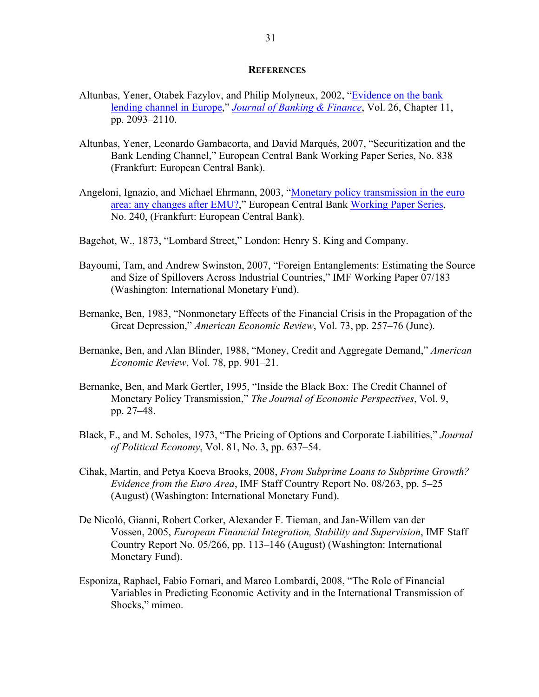#### **REFERENCES**

- Altunbas, Yener, Otabek Fazylov, and Philip Molyneux, 2002, "Evidence on the bank lending channel in Europe," *Journal of Banking & Finance*, Vol. 26, Chapter 11, pp. 2093–2110.
- Altunbas, Yener, Leonardo Gambacorta, and David Marqués, 2007, "Securitization and the Bank Lending Channel," European Central Bank Working Paper Series, No. 838 (Frankfurt: European Central Bank).
- Angeloni, Ignazio, and Michael Ehrmann, 2003, "Monetary policy transmission in the euro area: any changes after EMU?," European Central Bank Working Paper Series, No. 240, (Frankfurt: European Central Bank).
- Bagehot, W., 1873, "Lombard Street," London: Henry S. King and Company.
- Bayoumi, Tam, and Andrew Swinston, 2007, "Foreign Entanglements: Estimating the Source and Size of Spillovers Across Industrial Countries," IMF Working Paper 07/183 (Washington: International Monetary Fund).
- Bernanke, Ben, 1983, "Nonmonetary Effects of the Financial Crisis in the Propagation of the Great Depression," *American Economic Review*, Vol. 73, pp. 257–76 (June).
- Bernanke, Ben, and Alan Blinder, 1988, "Money, Credit and Aggregate Demand," *American Economic Review*, Vol. 78, pp. 901–21.
- Bernanke, Ben, and Mark Gertler, 1995, "Inside the Black Box: The Credit Channel of Monetary Policy Transmission," *The Journal of Economic Perspectives*, Vol. 9, pp. 27–48.
- Black, F., and M. Scholes, 1973, "The Pricing of Options and Corporate Liabilities," *Journal of Political Economy*, Vol. 81, No. 3, pp. 637–54.
- Cihak, Martin, and Petya Koeva Brooks, 2008, *From Subprime Loans to Subprime Growth? Evidence from the Euro Area*, IMF Staff Country Report No. 08/263, pp. 5–25 (August) (Washington: International Monetary Fund).
- De Nicoló, Gianni, Robert Corker, Alexander F. Tieman, and Jan-Willem van der Vossen, 2005, *European Financial Integration, Stability and Supervision*, IMF Staff Country Report No. 05/266, pp. 113–146 (August) (Washington: International Monetary Fund).
- Esponiza, Raphael, Fabio Fornari, and Marco Lombardi, 2008, "The Role of Financial Variables in Predicting Economic Activity and in the International Transmission of Shocks," mimeo.